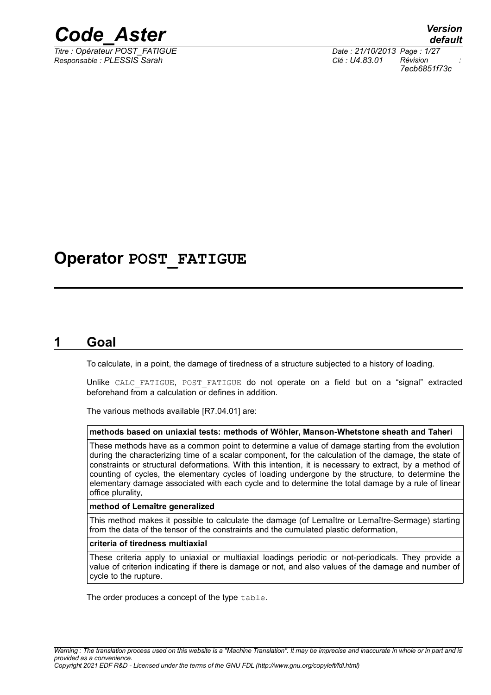

*Responsable : PLESSIS Sarah Clé : U4.83.01 Révision :*

*Titre : Opérateur POST\_FATIGUE Date : 21/10/2013 Page : 1/27 7ecb6851f73c*

# **Operator POST\_FATIGUE**

# **1 Goal**

To calculate, in a point, the damage of tiredness of a structure subjected to a history of loading.

Unlike CALC FATIGUE, POST FATIGUE do not operate on a field but on a "signal" extracted beforehand from a calculation or defines in addition.

The various methods available [R7.04.01] are:

### **methods based on uniaxial tests: methods of Wöhler, Manson-Whetstone sheath and Taheri**

These methods have as a common point to determine a value of damage starting from the evolution during the characterizing time of a scalar component, for the calculation of the damage, the state of constraints or structural deformations. With this intention, it is necessary to extract, by a method of counting of cycles, the elementary cycles of loading undergone by the structure, to determine the elementary damage associated with each cycle and to determine the total damage by a rule of linear office plurality,

### **method of Lemaître generalized**

This method makes it possible to calculate the damage (of Lemaître or Lemaître-Sermage) starting from the data of the tensor of the constraints and the cumulated plastic deformation,

### **criteria of tiredness multiaxial**

These criteria apply to uniaxial or multiaxial loadings periodic or not-periodicals. They provide a value of criterion indicating if there is damage or not, and also values of the damage and number of cycle to the rupture.

The order produces a concept of the type table.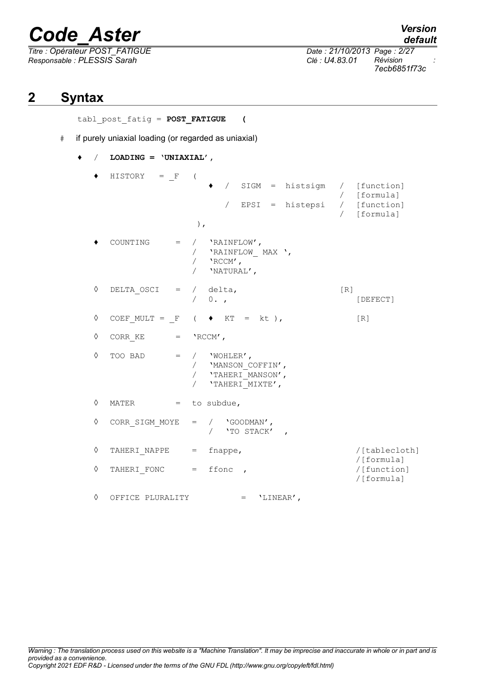*Titre : Opérateur POST\_FATIGUE Date : 21/10/2013 Page : 2/27 Responsable : PLESSIS Sarah Clé : U4.83.01 Révision :*

*7ecb6851f73c*

# **2 Syntax**

tabl\_post\_fatig = **POST\_FATIGUE (**

- # if purely uniaxial loading (or regarded as uniaxial)
	- ♦ / **LOADING = 'UNIAXIAL',**

 $\triangleleft$  HISTORY = F ( ♦ / SIGM = histsigm / [function] / [formula]  $\angle$  EPSI = histepsi  $\angle$ / [formula] ),  $COUNTING = / 'RAINFLOW',$ / 'RAINFLOW\_ MAX ', / 'RCCM', / 'NATURAL',  $\Diamond$  DELTA OSCI = / delta, [R] / 0. , [DEFECT]  $\Diamond$  COEF MULT = F ( ♦ KT = kt), [R]  $\Diamond$  CORR KE = 'RCCM',  $\Diamond$  TOO BAD = / 'WOHLER', / 'MANSON COFFIN', / **'TAHERI** MANSON', / 'TAHERI\_MIXTE',  $\Diamond$  MATER = to subdue, ◊ CORR\_SIGM\_MOYE = / 'GOODMAN', / 'TO STACK' , ◊ TAHERI\_NAPPE = fnappe, /[tablecloth] /[formula]  $\Diamond$  TAHERI FONC = ffonc , /[formula] ◊ OFFICE PLURALITY = 'LINEAR',

*default*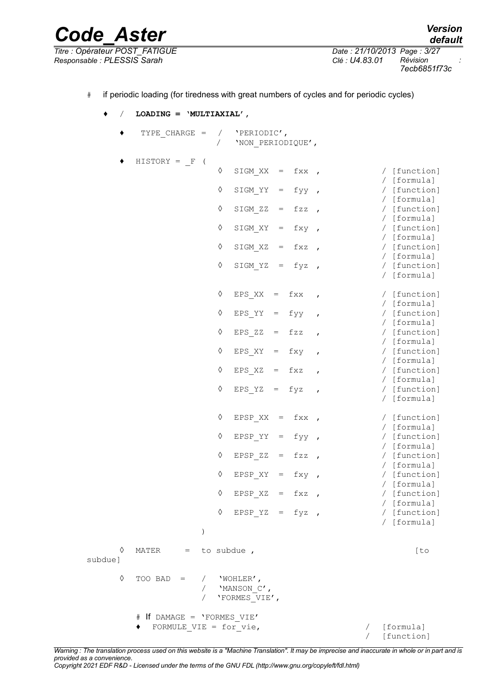*Titre : Opérateur POST\_FATIGUE Date : 21/10/2013 Page : 3/27 Responsable : PLESSIS Sarah Clé : U4.83.01 Révision :*

*default 7ecb6851f73c*

# if periodic loading (for tiredness with great numbers of cycles and for periodic cycles)

*Code\_Aster Version*

♦ / **LOADING = 'MULTIAXIAL',**

♦ TYPE\_CHARGE = / 'PERIODIC', / 'NON\_PERIODIQUE',  $\blacklozenge$  HISTORY =  $\mathsf{F}$  (  $\sqrt{S}$  SIGM XX = fxx , / [function] / [formula] ◊ SIGM\_YY = fyy , / [function] / [formula]  $\sqrt{5}$  SIGM ZZ = fzz , / [function] / [formula] ◊ SIGM\_XY = fxy , / [function] / [formula]  $\sqrt{5}$  SIGM XZ = fxz , / [function] / [formula] ◊ SIGM\_YZ = fyz , / [function] / [formula]  $\Diamond$  EPS XX = fxx , / [function] / [formula] ◊ EPS\_YY = fyy , / [function] / [formula]  $\sqrt{2}$  EPS ZZ = fzz , / [function] / [formula] ◊ EPS\_XY = fxy , / [function] / [formula] ◊ EPS\_XZ = fxz , / [function] / [formula]  $\Diamond$  EPS YZ = fyz , / [function] / [formula]  $\Diamond$  EPSP XX = fxx , / [function] / [formula] ◊ EPSP\_YY = fyy , / [function] / [formula]  $\sqrt{2}$  EPSP ZZ = fzz , / [function] / [formula]  $\Diamond$  EPSP XY = fxy , / [function] / [formula] ◊ EPSP\_XZ = fxz , / [function] / [formula] ◊ EPSP\_YZ = fyz , / [function] / [formula] )  $\Diamond$  MATER = to subdue ,  $\Diamond$  [to subdue]  $\Diamond$  TOO BAD = / 'WOHLER', / 'MANSON\_C', / 'FORMES\_VIE', # If DAMAGE = 'FORMES\_VIE' ◆ FORMULE VIE = for vie,  $\sqrt{$  [formula] [function]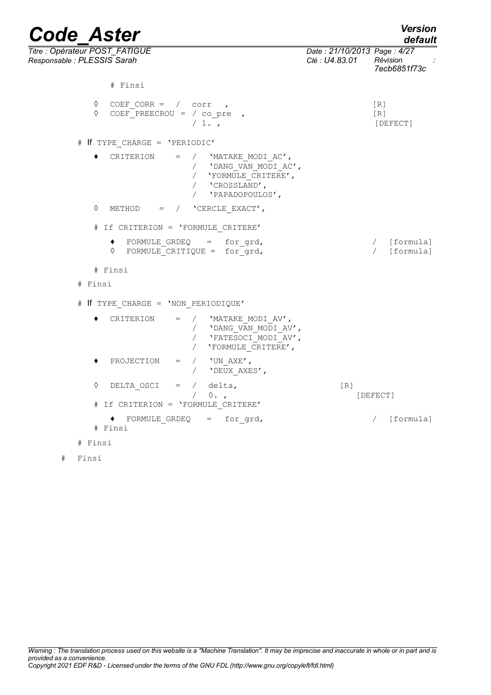| <b>Code Aster</b>                                            |                                                                                                                               |                                               | <b>Version</b><br>default  |
|--------------------------------------------------------------|-------------------------------------------------------------------------------------------------------------------------------|-----------------------------------------------|----------------------------|
| Titre: Opérateur POST_FATIGUE<br>Responsable : PLESSIS Sarah |                                                                                                                               | Date: 21/10/2013 Page: 4/27<br>Clé : U4.83.01 | Révision<br>7ecb6851f73c   |
|                                                              | # Finsi                                                                                                                       |                                               |                            |
| ♦<br>♦                                                       | COEF CORR = $\frac{1}{2}$ corr,<br>COEF PREECROU = $/$ co pre ,<br>/1.                                                        |                                               | [R]<br>[R]<br>[DEFECT]     |
|                                                              | # If TYPE CHARGE = 'PERIODIC'                                                                                                 |                                               |                            |
|                                                              | CRITERION<br>$=$<br>/ 'MATAKE MODI AC',<br>/ 'DANG VAN_MODI_AC',<br>/ 'FORMULE CRITERE',<br>/ 'CROSSLAND',<br>'PAPADOPOULOS', |                                               |                            |
| ♦                                                            | METHOD = $/$ 'CERCLE EXACT',                                                                                                  |                                               |                            |
|                                                              | # If CRITERION = 'FORMULE CRITERE'                                                                                            |                                               |                            |
|                                                              | $\bullet$ FORMULE_GRDEQ = for_grd,<br>$\Diamond$ FORMULE CRITIQUE = for grd,                                                  |                                               | / [formula]<br>/ [formula] |
|                                                              | # Finsi                                                                                                                       |                                               |                            |
| # Finsi                                                      |                                                                                                                               |                                               |                            |
|                                                              | # If TYPE CHARGE = 'NON PERIODIQUE'                                                                                           |                                               |                            |
|                                                              | CRITERION<br>/ 'MATAKE MODI AV',<br>$=$<br>/ 'DANG_VAN_MODI_AV',<br>'FATESOCI_MODI_AV',<br>$\sqrt{2}$<br>/ 'FORMULE CRITERE', |                                               |                            |
|                                                              | PROJECTION<br>'UN AXE',<br>$=$<br>$\sqrt{2}$<br>$\sqrt{2}$<br>'DEUX_AXES',                                                    |                                               |                            |
| ♦                                                            | DELTA OSCI<br>$=$ /<br>delta,<br>$\sqrt{2}$<br>$0.$ ,<br># If CRITERION = 'FORMULE CRITERE'                                   | [R]                                           | [DEFECT]                   |
|                                                              | FORMULE GRDEQ $=$ for grd,<br># Finsi                                                                                         |                                               | / [formula]                |
| # Finsi                                                      |                                                                                                                               |                                               |                            |

```
# Finsi
```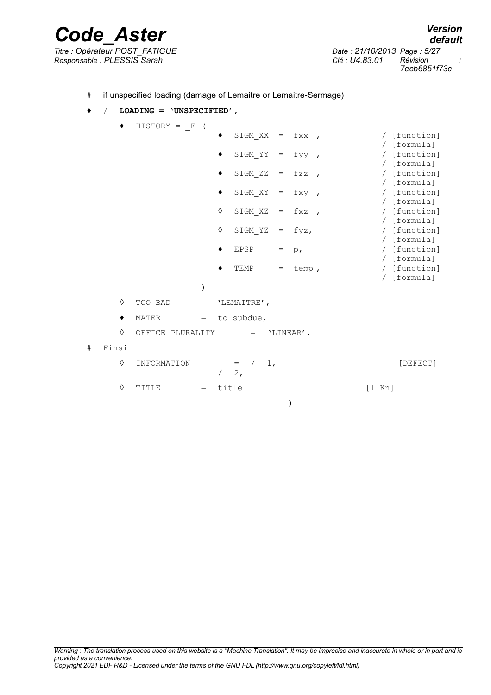*Code\_Aster Version Titre : Opérateur POST\_FATIGUE Date : 21/10/2013 Page : 5/27 Responsable : PLESSIS Sarah Clé : U4.83.01 Révision :*

*default 7ecb6851f73c*

### ♦ / **LOADING = 'UNSPECIFIED',**

 $\triangleleft$  HISTORY =  $F$  (

|   |       |                  |         |   | SIGM $XX = fXX$                   |     |            |                          |                               | / [function]              |
|---|-------|------------------|---------|---|-----------------------------------|-----|------------|--------------------------|-------------------------------|---------------------------|
|   |       |                  |         |   |                                   |     |            |                          |                               | [formula]                 |
|   |       |                  |         |   | SIGM YY                           | $=$ | fyy,       |                          |                               | [function]                |
|   |       |                  |         |   |                                   |     |            |                          |                               | / [formula]               |
|   |       |                  |         |   | SIGM ZZ                           | $=$ | $fzz$ ,    |                          |                               | [function]                |
|   |       |                  |         | ٠ | SIGM XY                           | $=$ | fxy,       |                          |                               | [formula]<br>/ [function] |
|   |       |                  |         |   |                                   |     |            |                          |                               | [formula]                 |
|   |       |                  |         | ♦ | SIGM XZ                           | $=$ | fxz        | $\overline{\phantom{a}}$ |                               | [function]                |
|   |       |                  |         |   |                                   |     |            |                          |                               | / [formula]               |
|   |       |                  |         | ♦ | SIGM YZ                           | $=$ | fyz,       |                          |                               | [function]                |
|   |       |                  |         |   |                                   |     |            |                          |                               | [formula]                 |
|   |       |                  |         |   | EPSP                              | $=$ | $p_{\ell}$ |                          |                               | / [function]              |
|   |       |                  |         |   |                                   |     |            |                          |                               | / [formula]               |
|   |       |                  |         |   | TEMP                              | $=$ | temp,      |                          |                               | / [function]              |
|   |       |                  |         |   |                                   |     |            |                          |                               | / [formula]               |
|   |       |                  | $\big)$ |   |                                   |     |            |                          |                               |                           |
|   | ♦     | TOO BAD          | $=$     |   | 'LEMAITRE',                       |     |            |                          |                               |                           |
|   | ٠     | MATER            | $=$     |   | to subdue,                        |     |            |                          |                               |                           |
|   | ♦     | OFFICE PLURALITY |         |   | $\hspace{1.6cm} = \hspace{1.6cm}$ |     | 'LINEAR',  |                          |                               |                           |
| # | Finsi |                  |         |   |                                   |     |            |                          |                               |                           |
|   | ♦     | INFORMATION      |         |   | $1$ ,<br>$=$<br>2,                |     |            |                          |                               | [DEFECT]                  |
|   | ♦     | TITLE            | $=$     |   | title                             |     |            |                          | $\lceil 1 \rceil$ Kn $\lceil$ |                           |

**)**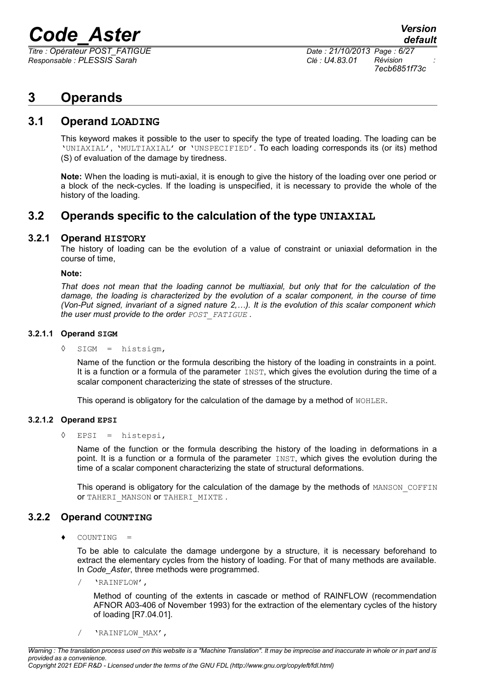*Titre : Opérateur POST\_FATIGUE Date : 21/10/2013 Page : 6/27 Responsable : PLESSIS Sarah Clé : U4.83.01 Révision :*

*7ecb6851f73c*

# **3 Operands**

### **3.1 Operand LOADING**

This keyword makes it possible to the user to specify the type of treated loading. The loading can be 'UNIAXIAL', 'MULTIAXIAL' or 'UNSPECIFIED'. To each loading corresponds its (or its) method (S) of evaluation of the damage by tiredness.

**Note:** When the loading is muti-axial, it is enough to give the history of the loading over one period or a block of the neck-cycles. If the loading is unspecified, it is necessary to provide the whole of the history of the loading.

## **3.2 Operands specific to the calculation of the type UNIAXIAL**

### **3.2.1 Operand HISTORY**

The history of loading can be the evolution of a value of constraint or uniaxial deformation in the course of time,

### **Note:**

*That does not mean that the loading cannot be multiaxial, but only that for the calculation of the damage, the loading is characterized by the evolution of a scalar component, in the course of time (Von-Put signed, invariant of a signed nature 2,…). It is the evolution of this scalar component which the user must provide to the order POST\_FATIGUE .*

### **3.2.1.1 Operand SIGM**

### ◊ SIGM = histsigm,

Name of the function or the formula describing the history of the loading in constraints in a point. It is a function or a formula of the parameter  $I\text{NST}$ , which gives the evolution during the time of a scalar component characterizing the state of stresses of the structure.

This operand is obligatory for the calculation of the damage by a method of WOHLER.

### **3.2.1.2 Operand EPSI**

### ◊ EPSI = histepsi,

Name of the function or the formula describing the history of the loading in deformations in a point. It is a function or a formula of the parameter INST, which gives the evolution during the time of a scalar component characterizing the state of structural deformations.

This operand is obligatory for the calculation of the damage by the methods of MANSON COFFIN OF TAHERI MANSON OF TAHERI MIXTE .

### **3.2.2 Operand COUNTING**

COUNTING

To be able to calculate the damage undergone by a structure, it is necessary beforehand to extract the elementary cycles from the history of loading. For that of many methods are available. In *Code\_Aster*, three methods were programmed.

/ 'RAINFLOW',

Method of counting of the extents in cascade or method of RAINFLOW (recommendation AFNOR A03-406 of November 1993) for the extraction of the elementary cycles of the history of loading [R7.04.01].

/ 'RAINFLOW\_MAX',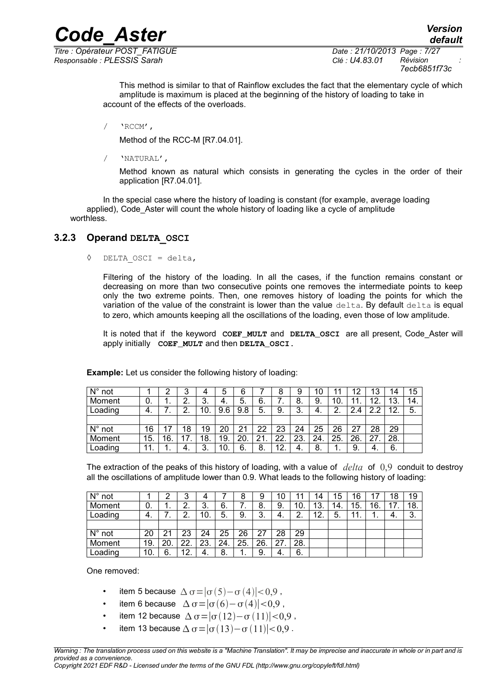*Titre : Opérateur POST\_FATIGUE Date : 21/10/2013 Page : 7/27 Responsable : PLESSIS Sarah Clé : U4.83.01 Révision :*

*7ecb6851f73c*

*default*

This method is similar to that of Rainflow excludes the fact that the elementary cycle of which amplitude is maximum is placed at the beginning of the history of loading to take in account of the effects of the overloads.

*Code\_Aster Version*

/ 'RCCM',

Method of the RCC-M [R7.04.01].

/ 'NATURAL',

Method known as natural which consists in generating the cycles in the order of their application [R7.04.01].

In the special case where the history of loading is constant (for example, average loading applied), Code Aster will count the whole history of loading like a cycle of amplitude worthless.

### **3.2.3 Operand DELTA\_OSCI**

◊ DELTA\_OSCI = delta,

Filtering of the history of the loading. In all the cases, if the function remains constant or decreasing on more than two consecutive points one removes the intermediate points to keep only the two extreme points. Then, one removes history of loading the points for which the variation of the value of the constraint is lower than the value  $delta$ -lta. By default delta is equal to zero, which amounts keeping all the oscillations of the loading, even those of low amplitude.

It is noted that if the keyword **COEF\_MULT** and **DELTA\_OSCI** are all present, Code\_Aster will apply initially  **COEF\_MULT** and then **DELTA\_OSCI.**

| $N^{\circ}$ not |     | 2        | 3                | 4   | 5   | $\sim$ |    | 8   | 9   | 10  |               | 12                 | 13     | 14  | 15  |
|-----------------|-----|----------|------------------|-----|-----|--------|----|-----|-----|-----|---------------|--------------------|--------|-----|-----|
| Moment          | 0.  | . .      | ◠<br><u>.</u>    | 3.  | -4. | 5.     | 6. | . . | 8.  | 9.  | 10.           | 11.                | 12.    | 13. | 14. |
| Loading         | -4. | –<br>. . | ົ<br><u>. . </u> | 10. | 9.6 | 9.8    | 5. | 9.  | 3.  | -4. | າ<br><u>.</u> | 2<br>$2.4^{\circ}$ | າ<br>ົ | 12. | 5.  |
|                 |     |          |                  |     |     |        |    |     |     |     |               |                    |        |     |     |
| $N^{\circ}$ not | 16  | 17       | 18               | 19  | 20  | 21     | 22 | 23  | 24  | 25  | 26            | 27                 | 28     | 29  |     |
| Moment          | 15. | 16.      | 17.              | 18. | 19. | 20     | 21 | 22. | 23. | 24. | 25.           | 26.                | 27     | 28. |     |
| Loading         | 11. | . .      | -4.              | 3.  | 10. | 6.     | 8. | 12. | -4. | 8.  | . .           | 9.                 | -4.    | 6.  |     |

**Example:** Let us consider the following history of loading:

The extraction of the peaks of this history of loading, with a value of *delta* of 0,9 conduit to destroy all the oscillations of amplitude lower than 0.9. What leads to the following history of loading:

| $N^{\circ}$ not |     |     | 3   | 4   |      |          | 9   | 10  |     | 14  | 15  | 16  |     | 18  | 19  |
|-----------------|-----|-----|-----|-----|------|----------|-----|-----|-----|-----|-----|-----|-----|-----|-----|
| Moment          | 0.  | . . | 2.  | 3.  | 6.   | . .      | 8.  | 9.  | 10. | 13. | 14. | 15. | 16. | 17  | 18. |
| Loading         | -4. | . . | 2.  | 10. | 5.   | 9.       | 3.  | -4. | 2.  | 12. | 5.  | 11. | . . | -4. | -3. |
|                 |     |     |     |     |      |          |     |     |     |     |     |     |     |     |     |
| $N^{\circ}$ not | 20  |     | 23  | 24  | 25   | 26       | 27  | 28  | 29  |     |     |     |     |     |     |
| Moment          | 19. | 20. | 22. | 23. | -24. | 25.      | 26. | 27  | 28. |     |     |     |     |     |     |
| Loading         | 10. | 6.  | 12. | 4.  | 8.   | и<br>. . | 9.  | -4. | 6.  |     |     |     |     |     |     |

One removed:

- item 5 because  $\Delta \sigma = |\sigma(5) \sigma(4)| < 0.9$ ,
- item 6 because  $\Delta \sigma = |\sigma(6) \sigma(4)| < 0.9$ ,
- item 12 because  $\Delta \sigma = |\sigma(12)-\sigma(11)| < 0.9$ ,
- item 13 because  $\Delta \sigma = |\sigma(13)-\sigma(11)| < 0.9$ .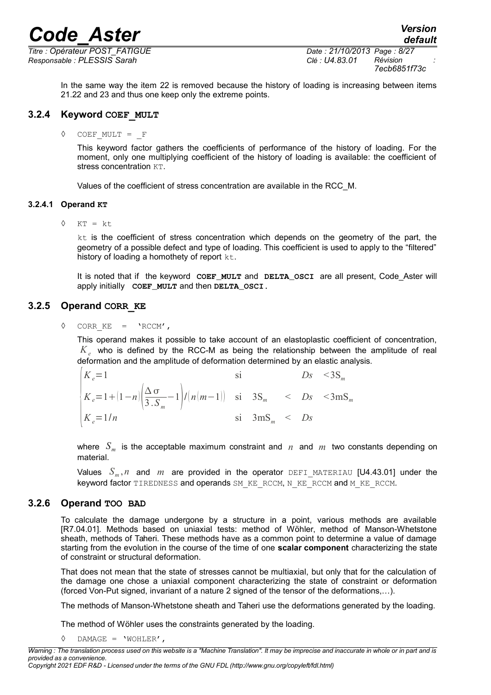*Titre : Opérateur POST\_FATIGUE Date : 21/10/2013 Page : 8/27 Responsable : PLESSIS Sarah Clé : U4.83.01 Révision :*

*7ecb6851f73c*

In the same way the item 22 is removed because the history of loading is increasing between items 21.22 and 23 and thus one keep only the extreme points.

### **3.2.4 Keyword COEF\_MULT**

◊ COEF\_MULT = \_F

This keyword factor gathers the coefficients of performance of the history of loading. For the moment, only one multiplying coefficient of the history of loading is available: the coefficient of stress concentration  $KT$ .

Values of the coefficient of stress concentration are available in the RCC\_M.

### **3.2.4.1 Operand KT**

 $\Diamond$  KT = kt

 $kt$  is the coefficient of stress concentration which depends on the geometry of the part, the geometry of a possible defect and type of loading. This coefficient is used to apply to the "filtered" history of loading a homothety of report kt.

It is noted that if the keyword COEF MULT and DELTA OSCI are all present, Code Aster will apply initially  **COEF\_MULT** and then **DELTA\_OSCI.**

### **3.2.5 Operand CORR\_KE**

 $\Diamond$  CORR KE = 'RCCM',

This operand makes it possible to take account of an elastoplastic coefficient of concentration,  $K_e$  who is defined by the RCC-M as being the relationship between the amplitude of real deformation and the amplitude of deformation determined by an elastic analysis.

| $K_e=1$                                                                                                        |                          |  | $Ds \leq 3S_m$ |
|----------------------------------------------------------------------------------------------------------------|--------------------------|--|----------------|
| $K_e = 1 + (1 - n) \left( \frac{\Delta \sigma}{3 \cdot S_m} - 1 \right) / (n(m-1))$ si $3S_m$ < $Ds$ < $3mS_m$ |                          |  |                |
| $K_e = 1/n$                                                                                                    | si $3 \text{mS}_m < D_s$ |  |                |

where  $S_m$  is the acceptable maximum constraint and  $n$  and  $m$  two constants depending on material.

Values *S<sup>m</sup>* ,*n* and *m* are provided in the operator DEFI\_MATERIAU [U4.43.01] under the keyword factor TIREDNESS and operands SM\_KE\_RCCM, N\_KE\_RCCM and M\_KE\_RCCM.

### **3.2.6 Operand TOO BAD**

To calculate the damage undergone by a structure in a point, various methods are available [R7.04.01]. Methods based on uniaxial tests: method of Wöhler, method of Manson-Whetstone sheath, methods of Taheri. These methods have as a common point to determine a value of damage starting from the evolution in the course of the time of one **scalar component** characterizing the state of constraint or structural deformation.

That does not mean that the state of stresses cannot be multiaxial, but only that for the calculation of the damage one chose a uniaxial component characterizing the state of constraint or deformation (forced Von-Put signed, invariant of a nature 2 signed of the tensor of the deformations,…).

The methods of Manson-Whetstone sheath and Taheri use the deformations generated by the loading.

The method of Wöhler uses the constraints generated by the loading.

◊ DAMAGE = 'WOHLER',

*Warning : The translation process used on this website is a "Machine Translation". It may be imprecise and inaccurate in whole or in part and is provided as a convenience. Copyright 2021 EDF R&D - Licensed under the terms of the GNU FDL (http://www.gnu.org/copyleft/fdl.html)*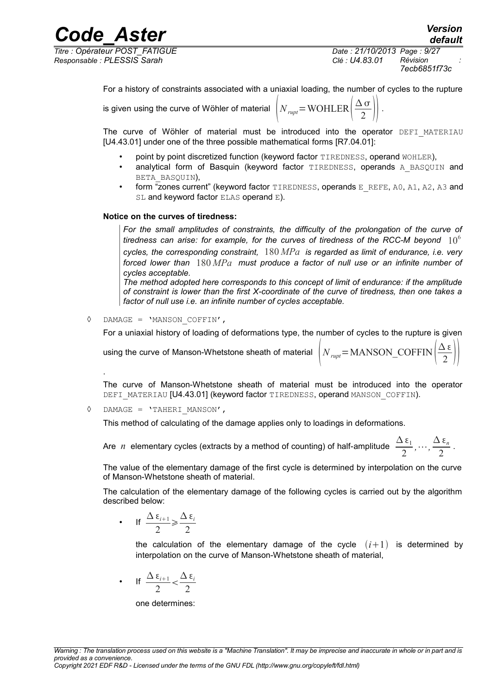*Responsable : PLESSIS Sarah Clé : U4.83.01 Révision :*

is given using

*Titre : Opérateur POST\_FATIGUE Date : 21/10/2013 Page : 9/27 7ecb6851f73c*

> $\overline{2}$  ||  $\cdot$ .

*default*

 $Δ$  ε  $\overline{2}$  ||

For a history of constraints associated with a uniaxial loading, the number of cycles to the rupture

the curve of Wöhler of material 
$$
N_{rupt} = \text{WOHLER} \left( \frac{\Delta \sigma}{2} \right)
$$

The curve of Wöhler of material must be introduced into the operator DEFI MATERIAU [U4.43.01] under one of the three possible mathematical forms [R7.04.01]:

- point by point discretized function (keyword factor TIREDNESS, operand WOHLER),
- analytical form of Basquin (keyword factor TIREDNESS, operands A BASQUIN and BETA\_BASQUIN),
- form "zones current" (keyword factor TIREDNESS, operands E\_REFE, A0, A1, A2, A3 and SL and keyword factor ELAS operand E).

### **Notice on the curves of tiredness:**

*For the small amplitudes of constraints, the difficulty of the prolongation of the curve of tiredness can arise: for example, for the curves of tiredness of the RCC-M beyond*  $10^6$ *cycles, the corresponding constraint,* 180 *MPa is regarded as limit of endurance, i.e. very forced lower than* 180 *MPa must produce a factor of null use or an infinite number of cycles acceptable.*

*The method adopted here corresponds to this concept of limit of endurance: if the amplitude of constraint is lower than the first X-coordinate of the curve of tiredness, then one takes a factor of null use i.e. an infinite number of cycles acceptable.*

◊ DAMAGE = 'MANSON\_COFFIN',

For a uniaxial history of loading of deformations type, the number of cycles to the rupture is given

using the curve of Manson-Whetstone sheath of material  $\,\,\Big\vert\,N_{_{rupt}}\!\!=\!\mathrm{MANSON\_COFFIN}\,\Big\vert\,\stackrel{\mathcal{L}}{=}\,$ 

The curve of Manson-Whetstone sheath of material must be introduced into the operator DEFI\_MATERIAU [U4.43.01] (keyword factor TIREDNESS, operand MANSON\_COFFIN).

◊ DAMAGE = 'TAHERI\_MANSON',

.

This method of calculating of the damage applies only to loadings in deformations.

Are *n* elementary cycles (extracts by a method of counting) of half-amplitude  $\frac{\Delta \epsilon_1}{2}$ 2  $\ldots, \frac{\Delta \varepsilon_n}{2}$  $rac{n}{2}$ .

The value of the elementary damage of the first cycle is determined by interpolation on the curve of Manson-Whetstone sheath of material.

The calculation of the elementary damage of the following cycles is carried out by the algorithm described below:

• If  $\frac{\Delta \varepsilon_{i+1}}{2}$ 2  $\geq \frac{\Delta \varepsilon_i}{2}$ 2

> the calculation of the elementary damage of the cycle  $(i+1)$  is determined by interpolation on the curve of Manson-Whetstone sheath of material,

• If  $\frac{\Delta \varepsilon_{i+1}}{2}$ 2  $\frac{\Delta \varepsilon_i}{2}$ 2

one determines: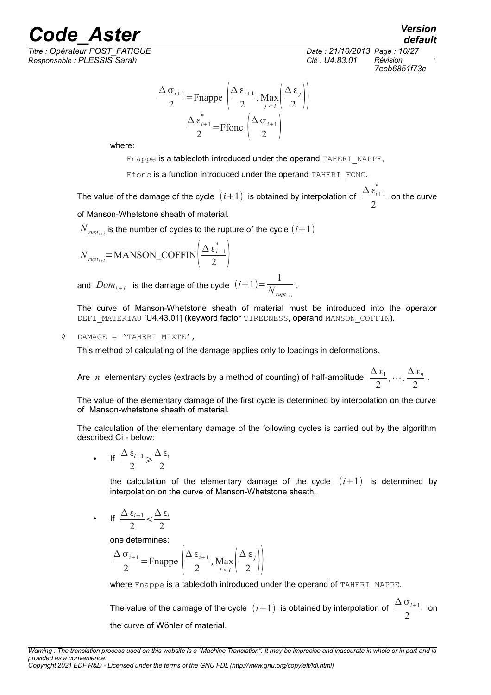# Ode\_Aster *Version*<br>default *Coderateur POST\_FATIGUE Coderateur POST\_FATIGUE*

*Titre : Opérateur POST\_FATIGUE Date : 21/10/2013 Page : 10/27 Responsable : PLESSIS Sarah Clé : U4.83.01 Révision :*

*default 7ecb6851f73c*

$$
\frac{\Delta \sigma_{i+1}}{2} = \text{Fnappe}\left(\frac{\Delta \epsilon_{i+1}}{2}, \text{Max}\left(\frac{\Delta \epsilon_{j}}{2}\right)\right)
$$

$$
\frac{\Delta \epsilon_{i+1}^{*}}{2} = \text{Ffonc}\left(\frac{\Delta \sigma_{i+1}}{2}\right)
$$

where:

Fnappe is a tablecloth introduced under the operand TAHERI\_NAPPE,

Ffonc is a function introduced under the operand TAHERI\_FONC.

The value of the damage of the cycle  $(i+1)$  is obtained by interpolation of  $\frac{\Delta \epsilon_{i+1}^*}{\Delta}$ 2 on the curve of Manson-Whetstone sheath of material.

 $N_{\textit{rupt}_{i+I}}$  is the number of cycles to the rupture of the cycle  $(i\!+\!1)$ 

$$
N_{rupt_{i+1}} = \text{MANSON\_COFFIN}\left(\frac{\Delta \, \varepsilon_{i+1}^*}{2}\right)
$$

and  $\textit{Dom}_{i+1}$  is the damage of the cycle  $(i+1)$ = $\frac{1}{N}$  $\overline{N_{\it rupt_{i+1}}}$ .

The curve of Manson-Whetstone sheath of material must be introduced into the operator DEFI\_MATERIAU [U4.43.01] (keyword factor TIREDNESS, operand MANSON\_COFFIN).

### ◊ DAMAGE = 'TAHERI\_MIXTE',

This method of calculating of the damage applies only to loadings in deformations.

Are *n* elementary cycles (extracts by a method of counting) of half-amplitude  $\frac{\Delta \epsilon_1}{2}$ 2  $,\cdots,\frac{\Delta\,\varepsilon_n}{2}$  $\frac{2^{n}}{2}$ .

The value of the elementary damage of the first cycle is determined by interpolation on the curve of Manson-whetstone sheath of material.

The calculation of the elementary damage of the following cycles is carried out by the algorithm described Ci - below:

• If 
$$
\frac{\Delta \epsilon_{i+1}}{2} \ge \frac{\Delta \epsilon_i}{2}
$$

the calculation of the elementary damage of the cycle  $(i+1)$  is determined by interpolation on the curve of Manson-Whetstone sheath.

• If 
$$
\frac{\Delta \epsilon_{i+1}}{2} < \frac{\Delta \epsilon_i}{2}
$$

one determines:

$$
\frac{\Delta \sigma_{i+1}}{2} = \text{Fnappe}\left(\frac{\Delta \epsilon_{i+1}}{2}, \text{Max}\left(\frac{\Delta \epsilon_{j}}{2}\right)\right)
$$

where Fnappe is a tablecloth introduced under the operand of TAHERI\_NAPPE.

The value of the damage of the cycle  $(i+1)$  is obtained by interpolation of  $\frac{\Delta \sigma_{i+1}}{2}$  $\frac{1}{2}$  on the curve of Wöhler of material.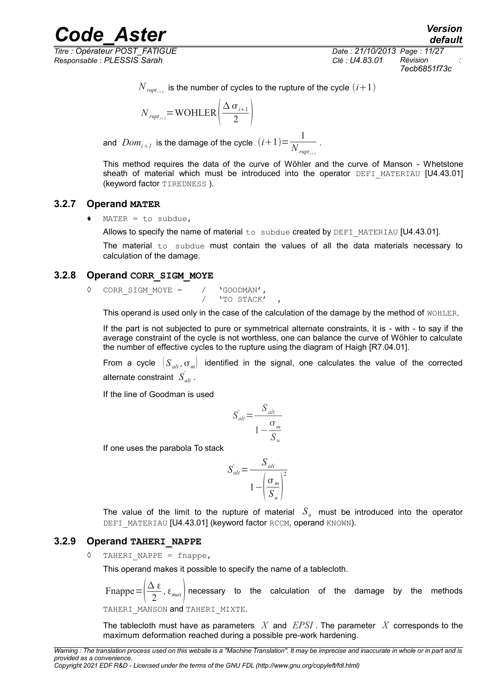*Responsable : PLESSIS Sarah Clé : U4.83.01 Révision :*

*Titre : Opérateur POST\_FATIGUE Date : 21/10/2013 Page : 11/27 7ecb6851f73c*

 $N_{\textit{rupt}_{i+1}}$  is the number of cycles to the rupture of the cycle  $(i\!+\!1)$ 

$$
N_{\text{rupt}_{i+1}} = \text{WOHLER}\left(\frac{\Delta \sigma_{i+1}}{2}\right)
$$

and  $\emph{Dom}_{i+1}$  is the damage of the cycle  $(i+1){=}\frac{1}{N}$  $\overline{N_{\textit{rupt}_{i+1}}}$ .

This method requires the data of the curve of Wöhler and the curve of Manson - Whetstone sheath of material which must be introduced into the operator DEFI\_MATERIAU [U4.43.01] (keyword factor TIREDNESS ).

### **3.2.7 Operand MATER**

 $\triangleleft$  MATER = to subdue,

Allows to specify the name of material  $to$  subdue created by DEFI\_MATERIAU [U4.43.01].

The material  $to$  subdue must contain the values of all the data materials necessary to calculation of the damage.

### **3.2.8 Operand CORR\_SIGM\_MOYE**

◊ CORR\_SIGM\_MOYE = / 'GOODMAN', 'TO STACK'

This operand is used only in the case of the calculation of the damage by the method of WOHLER.

If the part is not subjected to pure or symmetrical alternate constraints, it is - with - to say if the average constraint of the cycle is not worthless, one can balance the curve of Wöhler to calculate the number of effective cycles to the rupture using the diagram of Haigh [R7.04.01].

From a cycle  $(S_{ab}, \sigma_m)$  identified in the signal, one calculates the value of the corrected alternate constraint  $\left. S_{\textit{alt}}^{'}\right.$  .

If the line of Goodman is used

$$
S_{alt} = \frac{S_{alt}}{1 - \frac{\sigma_m}{S_u}}
$$

If one uses the parabola To stack

$$
S'_{alt} = \frac{S_{alt}}{1 - \left(\frac{\sigma_m}{S_u}\right)^2}
$$

The value of the limit to the rupture of material  $S_u$  must be introduced into the operator DEFI\_MATERIAU [U4.43.01] (keyword factor RCCM, operand KNOWN).

### **3.2.9 Operand TAHERI\_NAPPE**

TAHERI NAPPE =  $f$ nappe,

This operand makes it possible to specify the name of a tablecloth.

Fnappe= $\frac{\Delta \varepsilon}{2}$  $\left( \frac{1}{2}, \epsilon_{max} \right)$  necessary to the calculation of the damage by the methods

TAHERI MANSON and TAHERI MIXTE.

The tablecloth must have as parameters *X* and *EPSI* . The parameter *X* corresponds to the maximum deformation reached during a possible pre-work hardening.

*Copyright 2021 EDF R&D - Licensed under the terms of the GNU FDL (http://www.gnu.org/copyleft/fdl.html)*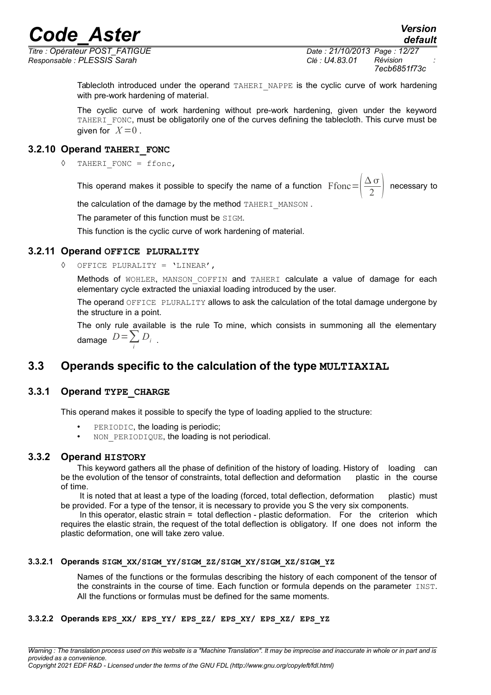*Titre : Opérateur POST\_FATIGUE Date : 21/10/2013 Page : 12/27 Responsable : PLESSIS Sarah Clé : U4.83.01 Révision :*

*7ecb6851f73c*

Tablecloth introduced under the operand TAHERI\_NAPPE is the cyclic curve of work hardening with pre-work hardening of material.

The cyclic curve of work hardening without pre-work hardening, given under the keyword TAHERI FONC, must be obligatorily one of the curves defining the tablecloth. This curve must be given for  $X=0$ .

### **3.2.10 Operand TAHERI\_FONC**

◊ TAHERI\_FONC = ffonc,

This operand makes it possible to specify the name of a function  $\sqrt{\frac{\Delta \sigma}{2}}$  $\frac{18}{2}$  necessary to

the calculation of the damage by the method TAHERI\_MANSON.

The parameter of this function must be SIGM.

This function is the cyclic curve of work hardening of material.

### **3.2.11 Operand OFFICE PLURALITY**

◊ OFFICE PLURALITY = 'LINEAR',

*i*

Methods of WOHLER, MANSON COFFIN and TAHERI calculate a value of damage for each elementary cycle extracted the uniaxial loading introduced by the user.

The operand OFFICE PLURALITY allows to ask the calculation of the total damage undergone by the structure in a point.

The only rule available is the rule To mine, which consists in summoning all the elementary damage  $D = \sum D_i$ 

## **3.3 Operands specific to the calculation of the type MULTIAXIAL**

### **3.3.1 Operand TYPE\_CHARGE**

This operand makes it possible to specify the type of loading applied to the structure:

- PERIODIC, the loading is periodic;
- NON PERIODIQUE, the loading is not periodical.

### **3.3.2 Operand HISTORY**

This keyword gathers all the phase of definition of the history of loading. History of loading can be the evolution of the tensor of constraints, total deflection and deformation plastic in the course of time.

It is noted that at least a type of the loading (forced, total deflection, deformation plastic) must be provided. For a type of the tensor, it is necessary to provide you S the very six components.

 In this operator, elastic strain = total deflection - plastic deformation. For the criterion which requires the elastic strain, the request of the total deflection is obligatory. If one does not inform the plastic deformation, one will take zero value.

### **3.3.2.1 Operands SIGM\_XX/SIGM\_YY/SIGM\_ZZ/SIGM\_XY/SIGM\_XZ/SIGM\_YZ**

Names of the functions or the formulas describing the history of each component of the tensor of the constraints in the course of time. Each function or formula depends on the parameter INST. All the functions or formulas must be defined for the same moments.

### **3.3.2.2 Operands EPS\_XX/ EPS\_YY/ EPS\_ZZ/ EPS\_XY/ EPS\_XZ/ EPS\_YZ**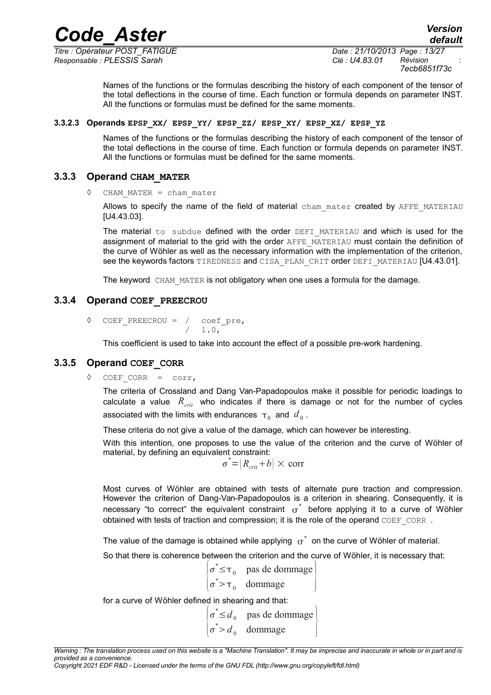*Code\_Aster Version*<br>default<sub>e:</sub> Opérateur POST\_FATIGUE *Date*: 21/10/2013\_Page: 13/27

*Titre : Opérateur POST\_FATIGUE Date : 21/10/2013 Page : 13/27 Responsable : PLESSIS Sarah Clé : U4.83.01 Révision :*

*default 7ecb6851f73c*

Names of the functions or the formulas describing the history of each component of the tensor of the total deflections in the course of time. Each function or formula depends on parameter INST. All the functions or formulas must be defined for the same moments.

### **3.3.2.3 Operands EPSP\_XX/ EPSP\_YY/ EPSP\_ZZ/ EPSP\_XY/ EPSP\_XZ/ EPSP\_YZ**

Names of the functions or the formulas describing the history of each component of the tensor of the total deflections in the course of time. Each function or formula depends on parameter INST. All the functions or formulas must be defined for the same moments.

### **3.3.3 Operand CHAM\_MATER**

 $CHAM$  MATER = chan matter

Allows to specify the name of the field of material cham mater created by AFFE\_MATERIAU [U4.43.03].

The material to subdue defined with the order  $DEFI$  MATERIAU and which is used for the assignment of material to the grid with the order AFFE\_MATERIAU must contain the definition of the curve of Wöhler as well as the necessary information with the implementation of the criterion, see the keywords factors TIREDNESS and CISA PLAN CRIT order DEFI\_MATERIAU [U4.43.01].

The keyword CHAM MATER is not obligatory when one uses a formula for the damage.

### **3.3.4 Operand COEF\_PREECROU**

◊ COEF\_PREECROU = / coef\_pre,  $/ 1.0.$ 

This coefficient is used to take into account the effect of a possible pre-work hardening.

### **3.3.5 Operand COEF\_CORR**

◊ COEF\_CORR = corr,

The criteria of Crossland and Dang Van-Papadopoulos make it possible for periodic loadings to calculate a value  $R_{crit}$  who indicates if there is damage or not for the number of cycles associated with the limits with endurances  $\, \tau_{\,0} \,$  and  $\,d_{\,0}$  .

These criteria do not give a value of the damage, which can however be interesting.

With this intention, one proposes to use the value of the criterion and the curve of Wöhler of material, by defining an equivalent constraint:

$$
\sigma^* = (R_{\text{crit}} + b) \times \text{corr}
$$

Most curves of Wöhler are obtained with tests of alternate pure traction and compression. However the criterion of Dang-Van-Papadopoulos is a criterion in shearing. Consequently, it is necessary "to correct" the equivalent constraint  $\sigma^*$  before applying it to a curve of Wöhler obtained with tests of traction and compression; it is the role of the operand COEF\_CORR *.*

The value of the damage is obtained while applying  $\sigma^*$  on the curve of Wöhler of material.

So that there is coherence between the criterion and the curve of Wöhler, it is necessary that:

$$
\begin{vmatrix} \sigma^* \le \tau_0 & \text{pas de dommage} \\ \sigma^* > \tau_0 & \text{dommage} \end{vmatrix}
$$

for a curve of Wöhler defined in shearing and that:

 $\sigma^* > d_0$  dommage  $\sigma^*$ ≤*d*<sub>0</sub> pas de dommage

*Copyright 2021 EDF R&D - Licensed under the terms of the GNU FDL (http://www.gnu.org/copyleft/fdl.html)*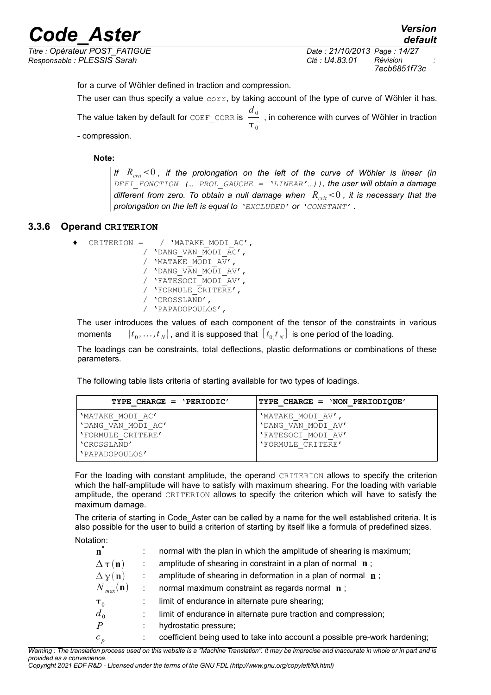*Responsable : PLESSIS Sarah Clé : U4.83.01 Révision :*

*Titre : Opérateur POST\_FATIGUE Date : 21/10/2013 Page : 14/27 7ecb6851f73c*

*default*

for a curve of Wöhler defined in traction and compression.

The user can thus specify a value  $corr$ , by taking account of the type of curve of Wöhler it has. The value taken by default for  $\cos$   $d_{0}$  on  $d_{0}$  $\frac{\textcolor{blue}{\mathbf{-0}}}{\textcolor{blue}{\mathbf{\tau}}_0}$  , in coherence with curves of Wöhler in traction

- compression.

**Note:**

*If*  $R_{crit}$ <0, if the prolongation on the left of the curve of Wöhler is linear (in *DEFI\_FONCTION (… PROL\_GAUCHE = 'LINEAR'…)), the user will obtain a damage different from zero. To obtain a null damage when*  $R_{crit}$  <0, it is necessary that the *prolongation on the left is equal to 'EXCLUDED' or 'CONSTANT' .*

### **3.3.6 Operand CRITERION**

♦ CRITERION = / 'MATAKE\_MODI\_AC', / 'DANG\_VAN\_MODI\_AC', / 'MATAKE\_MODI\_AV', / 'DANG\_VAN\_MODI\_AV', / 'FATESOCI\_MODI\_AV', / 'FORMULE\_CRITERE', / 'CROSSLAND', / 'PAPADOPOULOS',

The user introduces the values of each component of the tensor of the constraints in various moments  $(\bm{y}_0, \dots, \bm{t}_N)$  , and it is supposed that  $\begin{bmatrix} t_{0, t}^T t_N \end{bmatrix}$  is one period of the loading.

The loadings can be constraints, total deflections, plastic deformations or combinations of these parameters.

The following table lists criteria of starting available for two types of loadings.

| TYPE CHARGE = $'PERIODIC'$ | TYPE CHARGE = 'NON PERIODIOUE' |
|----------------------------|--------------------------------|
| 'MATAKE MODI AC'           | 'MATAKE MODI AV',              |
| 'DANG VAN MODI AC'         | 'DANG VAN MODI AV'             |
| PORMULE CRITERE'           | 'FATESOCI MODI AV'             |
| 'CROSSLAND'                | 'FORMULE CRITERE'              |
| 'PAPADOPOULOS'             |                                |

For the loading with constant amplitude, the operand CRITERION allows to specify the criterion which the half-amplitude will have to satisfy with maximum shearing. For the loading with variable amplitude, the operand CRITERION allows to specify the criterion which will have to satisfy the maximum damage.

The criteria of starting in Code Aster can be called by a name for the well established criteria. It is also possible for the user to build a criterion of starting by itself like a formula of predefined sizes. Notation:

| $\pm$                          | normal with the plan in which the amplitude of shearing is maximum;        |
|--------------------------------|----------------------------------------------------------------------------|
| $\mathbf n$                    |                                                                            |
| $\Delta \tau(n)$               | amplitude of shearing in constraint in a plan of normal $\mathbf n$ ;      |
| $\Delta \chi(\mathbf{n})$      | amplitude of shearing in deformation in a plan of normal $\mathbf n$ ;     |
| $N_{max}(\mathbf{n})$          | normal maximum constraint as regards normal n;                             |
| $\mathbf{\tau}_{\mathfrak{0}}$ | limit of endurance in alternate pure shearing;                             |
| $d_0$                          | limit of endurance in alternate pure traction and compression;             |
| $\mathbf{P}$                   | hydrostatic pressure;                                                      |
| $c_p$                          | coefficient being used to take into account a possible pre-work hardening; |

*Warning : The translation process used on this website is a "Machine Translation". It may be imprecise and inaccurate in whole or in part and is provided as a convenience. Copyright 2021 EDF R&D - Licensed under the terms of the GNU FDL (http://www.gnu.org/copyleft/fdl.html)*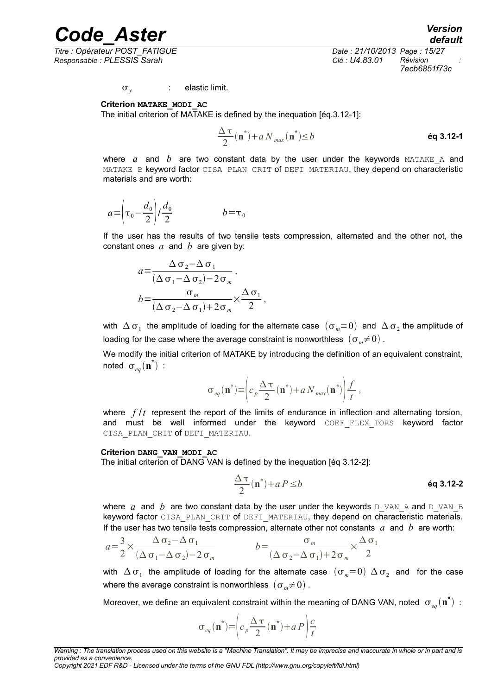*Titre : Opérateur POST\_FATIGUE Date : 21/10/2013 Page : 15/27 Responsable : PLESSIS Sarah Clé : U4.83.01 Révision :*

*7ecb6851f73c*

 $\sigma_{\nu}$ : elastic limit.

**Criterion MATAKE\_MODI\_AC**

The initial criterion of MATAKE is defined by the inequation [éq.3.12-1]:

$$
\frac{\Delta \tau}{2}(\mathbf{n}^*) + a N_{max}(\mathbf{n}^*) \le b
$$

where  $a$  and  $b$  are two constant data by the user under the keywords  $MATEE$  and MATAKE B keyword factor CISA PLAN CRIT of DEFI MATERIAU, they depend on characteristic materials and are worth:

$$
a = \left(\tau_0 - \frac{d_0}{2}\right) / \frac{d_0}{2} \qquad b = \tau_0
$$

If the user has the results of two tensile tests compression, alternated and the other not, the constant ones *a* and *b* are given by:

$$
a = \frac{\Delta \sigma_2 - \Delta \sigma_1}{(\Delta \sigma_1 - \Delta \sigma_2) - 2\sigma_m},
$$
  

$$
b = \frac{\sigma_m}{(\Delta \sigma_2 - \Delta \sigma_1) + 2\sigma_m} \times \frac{\Delta \sigma_1}{2}
$$

with  $\Delta$   $\sigma_1^+$  the amplitude of loading for the alternate case  $\ (\sigma_m=0\)$  and  $\ \Delta\,\sigma_2^+$  the amplitude of loading for the case where the average constraint is nonworthless  $(\sigma_m \neq 0)$ .

,

We modify the initial criterion of MATAKE by introducing the definition of an equivalent constraint, noted  $\sigma_{_{eq}}(\mathbf{n}^*)$  :

$$
\sigma_{eq}(\mathbf{n}^*) = \left(c_p \frac{\Delta \tau}{2}(\mathbf{n}^*) + a N_{max}(\mathbf{n}^*)\right) \frac{f}{t},
$$

where  $f/t$  represent the report of the limits of endurance in inflection and alternating torsion, and must be well informed under the keyword COEF\_FLEX\_TORS keyword factor CISA PLAN CRIT Of DEFI MATERIAU.

#### **Criterion DANG\_VAN\_MODI\_AC**

The initial criterion of DANG VAN is defined by the inequation [éq 3.12-2]:

$$
\frac{\Delta \tau}{2}(\mathbf{n}^*) + a \, P \le b \tag{6q 3.12-2}
$$

where  $a$  and  $b$  are two constant data by the user under the keywords  $D$  VAN A and D\_VAN\_B keyword factor CISA PLAN CRIT of DEFI MATERIAU, they depend on characteristic materials. If the user has two tensile tests compression, alternate other not constants  $a$  and  $b$  are worth:

$$
a = \frac{3}{2} \times \frac{\Delta \sigma_2 - \Delta \sigma_1}{(\Delta \sigma_1 - \Delta \sigma_2) - 2 \sigma_m} \qquad b = \frac{\sigma_m}{(\Delta \sigma_2 - \Delta \sigma_1) + 2 \sigma_m} \times \frac{\Delta \sigma_1}{2}
$$

with  $\Delta$   $\sigma_1$  the amplitude of loading for the alternate case  $\;(\sigma_m=0)\;\Delta\,\sigma_2\;$  and for the case where the average constraint is nonworthless  $(\sigma_m \neq 0)$ .

Moreover, we define an equivalent constraint within the meaning of DANG VAN, noted  $\sigma_{_{eq}}(\mathbf{n}^*)$  :

$$
\sigma_{eq}(\mathbf{n}^*) = \left(c_p \frac{\Delta \tau}{2}(\mathbf{n}^*) + aP\right)\frac{c}{t}
$$

*Copyright 2021 EDF R&D - Licensed under the terms of the GNU FDL (http://www.gnu.org/copyleft/fdl.html)*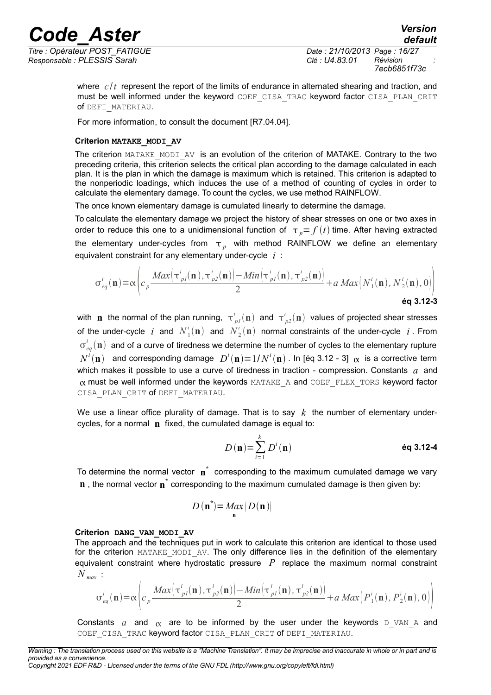*Responsable : PLESSIS Sarah Clé : U4.83.01 Révision :*

*7ecb6851f73c*

where  $c/t$  represent the report of the limits of endurance in alternated shearing and traction, and must be well informed under the keyword COEF CISA\_TRAC keyword factor CISA\_PLAN\_CRIT of DEFI\_MATERIAU.

For more information, to consult the document [R7.04.04].

### **Criterion MATAKE\_MODI\_AV**

The criterion MATAKE\_MODI\_AV is an evolution of the criterion of MATAKE. Contrary to the two preceding criteria, this criterion selects the critical plan according to the damage calculated in each plan. It is the plan in which the damage is maximum which is retained. This criterion is adapted to the nonperiodic loadings, which induces the use of a method of counting of cycles in order to calculate the elementary damage. To count the cycles, we use method RAINFLOW.

The once known elementary damage is cumulated linearly to determine the damage.

To calculate the elementary damage we project the history of shear stresses on one or two axes in order to reduce this one to a unidimensional function of  $\tau_p = f(t)$  time. After having extracted the elementary under-cycles from  $\tau_{p}^{\text{}}$  with method RAINFLOW we define an elementary equivalent constraint for any elementary under-cycle *i* :

$$
\sigma_{eq}^{i}(\mathbf{n}) = \alpha \left( c_p \frac{Max\left(\tau_{pl}^{i}(\mathbf{n}), \tau_{pl}^{i}(\mathbf{n})\right) - Min\left(\tau_{pl}^{i}(\mathbf{n}), \tau_{pl}^{i}(\mathbf{n})\right)}{2} + a \, Max\left(N_1^{i}(\mathbf{n}), N_2^{i}(\mathbf{n}), 0\right) \right)
$$
\n
$$
\text{éq 3.12-3}
$$

with  $\bf{n}$  the normal of the plan running,  $\tau^i_{\ {pl}} ({\bf{n}})$  and  $\tau^i_{\ {pl}} ({\bf{n}})$  values of projected shear stresses of the under-cycle i and  $N_1^i(\mathbf{n})$  and  $N_2^i(\mathbf{n})$  normal constraints of the under-cycle i. From  $\sigma_{eq}^{i}(\bf{n})$  and of a curve of tiredness we determine the number of cycles to the elementary rupture  $N^i(\bf{n})$  and corresponding damage  $\ D^i(\bf{n})$   $=$   $1/N^i(\bf{n})$  . In [éq 3.12 - 3]  $\ \alpha \ \$ is a corrective term which makes it possible to use a curve of tiredness in traction - compression. Constants *a* and  $\alpha$  must be well informed under the keywords MATAKE A and COEF FLEX TORS keyword factor CISA PLAN CRIT of DEFI\_MATERIAU.

We use a linear office plurality of damage. That is to say  $k$  the number of elementary undercycles, for a normal **n** fixed, the cumulated damage is equal to:

$$
D(\mathbf{n}) = \sum_{i=1}^{k} D^{i}(\mathbf{n})
$$
éq 3.12-4

To determine the normal vector  $\mathbf{n}^*$  corresponding to the maximum cumulated damage we vary **n**, the normal vector **n**<sup>\*</sup> corresponding to the maximum cumulated damage is then given by:

$$
D\left(\mathbf{n}^*\right) = \underset{\mathbf{n}}{\text{Max}}\left(D\left(\mathbf{n}\right)\right)
$$

### **Criterion DANG\_VAN\_MODI\_AV**

The approach and the techniques put in work to calculate this criterion are identical to those used for the criterion MATAKE MODI AV. The only difference lies in the definition of the elementary equivalent constraint where hydrostatic pressure *P* replace the maximum normal constraint *N max* :

$$
\sigma_{eq}^{i}(\mathbf{n}) = \alpha \left( c_p \frac{Max(\tau_{p1}^{i}(\mathbf{n}), \tau_{p2}^{i}(\mathbf{n})) - Min(\tau_{p1}^{i}(\mathbf{n}), \tau_{p2}^{i}(\mathbf{n}))}{2} + a \, Max\left(P_1^{i}(\mathbf{n}), P_2^{i}(\mathbf{n}), 0\right) \right)
$$

Constants *a* and  $\alpha$  are to be informed by the user under the keywords D VAN A and COEF CISA TRAC keyword factor CISA PLAN CRIT of DEFI\_MATERIAU.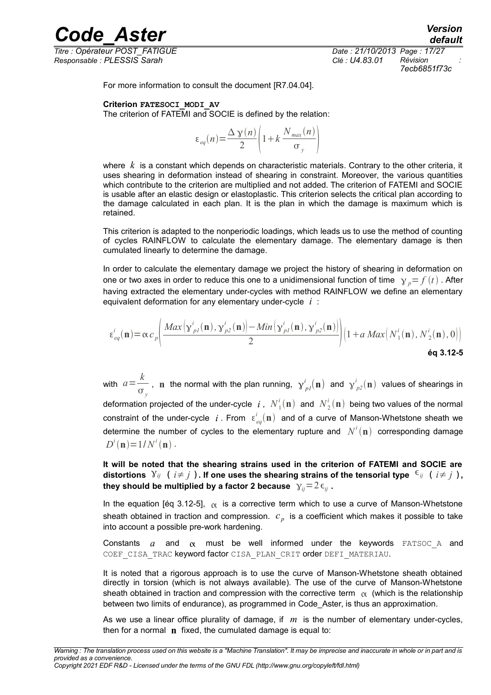*Titre : Opérateur POST\_FATIGUE Date : 21/10/2013 Page : 17/27 Responsable : PLESSIS Sarah Clé : U4.83.01 Révision :*

*default 7ecb6851f73c*

For more information to consult the document [R7.04.04].

### **Criterion FATESOCI\_MODI\_AV**

The criterion of FATEMI and SOCIE is defined by the relation:

$$
\varepsilon_{eq}(n) = \frac{\Delta \gamma(n)}{2} \left( 1 + k \frac{N_{max}(n)}{\sigma_y} \right)
$$

*Code\_Aster Version*

where *k* is a constant which depends on characteristic materials. Contrary to the other criteria, it uses shearing in deformation instead of shearing in constraint. Moreover, the various quantities which contribute to the criterion are multiplied and not added. The criterion of FATEMI and SOCIE is usable after an elastic design or elastoplastic. This criterion selects the critical plan according to the damage calculated in each plan. It is the plan in which the damage is maximum which is retained.

This criterion is adapted to the nonperiodic loadings, which leads us to use the method of counting of cycles RAINFLOW to calculate the elementary damage. The elementary damage is then cumulated linearly to determine the damage.

In order to calculate the elementary damage we project the history of shearing in deformation on one or two axes in order to reduce this one to a unidimensional function of time  $\gamma p = f(t)$ . After having extracted the elementary under-cycles with method RAINFLOW we define an elementary equivalent deformation for any elementary under-cycle *i* :

$$
\varepsilon_{eq}^{i}(\mathbf{n}) = \alpha c_p \left( \frac{Max\left(\mathbf{y}_{pl}^{i}(\mathbf{n}), \mathbf{y}_{p2}^{i}(\mathbf{n})\right) - Min\left(\mathbf{y}_{pl}^{i}(\mathbf{n}), \mathbf{y}_{p2}^{i}(\mathbf{n})\right)}{2} \right) \left(1 + a \, Max\left(N_1^{i}(\mathbf{n}), N_2^{i}(\mathbf{n}), 0\right)\right)
$$
\n
$$
\text{éq 3.12-5}
$$

with  $a = \frac{k}{\hbar}$  $\frac{\kappa}{\sigma_y}$ , n the normal with the plan running,  $\gamma^i_{pI}(\mathbf{n})$  and  $\gamma^i_{p2}(\mathbf{n})$  values of shearings in deformation projected of the under-cycle  $i$  ,  $N^i_{\rm 1}(\mathbf{n})$  and  $N^i_{\rm 2}(\mathbf{n})$  being two values of the normal constraint of the under-cycle  $i$  . From  $\epsilon_{eq}^{i}(\mathbf{n})$  and of a curve of Manson-Whetstone sheath we determine the number of cycles to the elementary rupture and  $N^i(\mathbf{n})$  corresponding damage  $D^{i}(\mathbf{n}) = 1/N^{i}(\mathbf{n})$ .

**It will be noted that the shearing strains used in the criterion of FATEMI and SOCIE are distortions**  $Y_{ij}$  (  $i \neq j$  ). If one uses the shearing strains of the tensorial type  $\epsilon_{ij}$  (  $i \neq j$  ), **they should be multiplied by a factor 2 because**  $\gamma_{ii} = 2 \epsilon_{ii}$ .

In the equation [éq 3.12-5],  $\alpha$  is a corrective term which to use a curve of Manson-Whetstone sheath obtained in traction and compression. *c <sup>p</sup>* is a coefficient which makes it possible to take into account a possible pre-work hardening.

Constants  $a$  and  $\alpha$  must be well informed under the keywords FATSOC A and COEF CISA TRAC keyword factor CISA PLAN CRIT order DEFI\_MATERIAU.

It is noted that a rigorous approach is to use the curve of Manson-Whetstone sheath obtained directly in torsion (which is not always available). The use of the curve of Manson-Whetstone sheath obtained in traction and compression with the corrective term  $\alpha$  (which is the relationship between two limits of endurance), as programmed in Code\_Aster, is thus an approximation.

As we use a linear office plurality of damage, if *m* is the number of elementary under-cycles, then for a normal **n** fixed, the cumulated damage is equal to: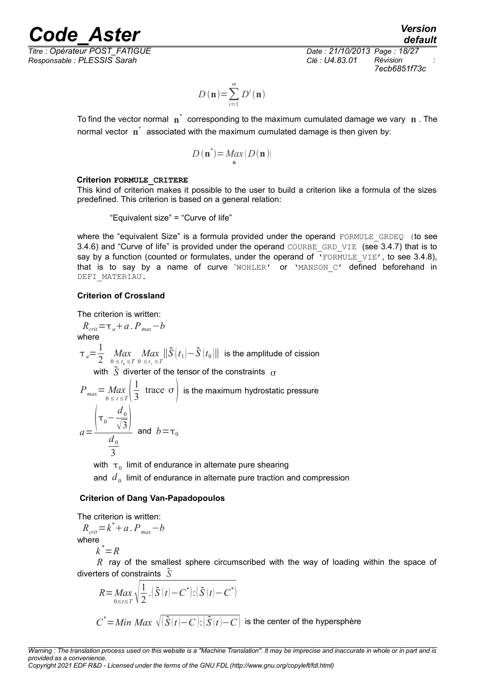*default*

*Titre : Opérateur POST\_FATIGUE Date : 21/10/2013 Page : 18/27 Responsable : PLESSIS Sarah Clé : U4.83.01 Révision :*

*7ecb6851f73c*

$$
D(\mathbf{n})\!=\!\sum_{i=1}^{m}D^{i}(\mathbf{n})
$$

To find the vector normal  $\mathbf{n}^*$  corresponding to the maximum cumulated damage we vary  $\mathbf{n}$  . The normal vector **n \*** associated with the maximum cumulated damage is then given by:

$$
D(\mathbf{n}^*) = \underset{\mathbf{n}}{\text{Max}}\left(D(\mathbf{n})\right)
$$

### **Criterion FORMULE\_CRITERE**

This kind of criterion makes it possible to the user to build a criterion like a formula of the sizes predefined. This criterion is based on a general relation:

"Equivalent size" = "Curve of life"

where the "equivalent Size" is a formula provided under the operand FORMULE GRDEQ (to see 3.4.6) and "Curve of life" is provided under the operand COURBE\_GRD\_VIE (see 3.4.7) that is to say by a function (counted or formulates, under the operand of  $\overline{Y}$ FORMULE VIE', to see 3.4.8), that is to say by a name of curve 'WOHLER' or 'MANSON C' defined beforehand in DEFI\_MATERIAU.

### **Criterion of Crossland**

The criterion is written:

$$
R_{crit} = \tau_a + a \cdot P_{max} - b
$$
  
where  

$$
\tau_a = \frac{1}{2} \max_{\substack{0 \le t_a \le T \\ 0 \le t_i \le T}} \max_{0 \le t_i \le T} ||\tilde{S}(t_1) - \tilde{S}(t_0)||
$$
 is the amplitude of cission  
with  $\tilde{S}$  diverter of the tensor of the constraints  $\sigma$ 

$$
P_{max} = Max_{0 \le t \le T} \left( \frac{1}{3} \text{ trace } \sigma \right) \text{ is the maximum hydrostatic pressure}
$$
  

$$
a = \frac{\left( \tau_0 - \frac{d_0}{\sqrt{3}} \right)}{\frac{d_0}{3}} \text{ and } b = \tau_0
$$

with  $\tau_{\scriptscriptstyle 0}$  limit of endurance in alternate pure shearing

and  $\,d_{\,0}\,$  limit of endurance in alternate pure traction and compression

### **Criterion of Dang Van-Papadopoulos**

The criterion is written:

$$
R_{crit} = k^* + a \cdot P_{max} - b
$$
  
where

$$
k^* = R
$$

*R* ray of the smallest sphere circumscribed with the way of loading within the space of diverters of constraints *S*

$$
R = \max_{0 \le t \le T} \sqrt{\frac{1}{2} \cdot (\tilde{S}(t) - C^*)} \cdot (\tilde{S}(t) - C^*)
$$
  

$$
C^* = \text{Min } \text{Max } \sqrt{(\tilde{S}(t) - C) \cdot (\tilde{S}(t) - C)}
$$
 is the center of the hypersphere

*Copyright 2021 EDF R&D - Licensed under the terms of the GNU FDL (http://www.gnu.org/copyleft/fdl.html)*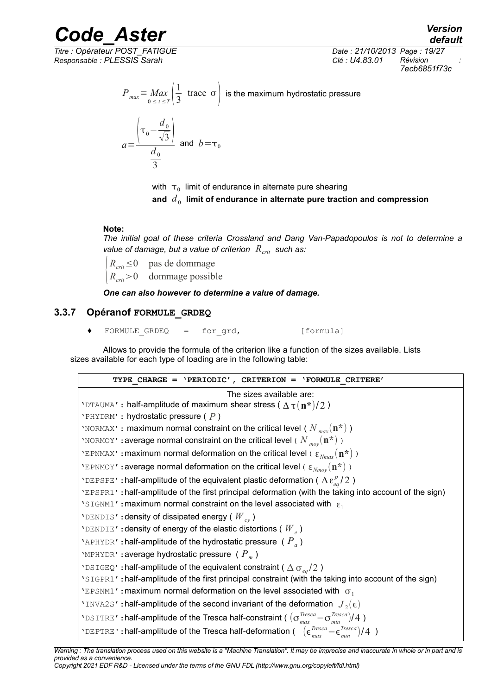*Titre : Opérateur POST\_FATIGUE Date : 21/10/2013 Page : 19/27 Responsable : PLESSIS Sarah Clé : U4.83.01 Révision :*

*7ecb6851f73c*

$$
P_{max} = \frac{Max}{0 \le t \le T} \left( \frac{1}{3} \text{ trace } \sigma \right)
$$
 is the maximum hydrostatic pressure

$$
a = \frac{\left(\tau_0 - \frac{d_0}{\sqrt{3}}\right)}{\frac{d_0}{3}} \text{ and } b = \tau_0
$$

with  $\vert \tau_{0} \vert$  limit of endurance in alternate pure shearing

and  $\,d_{\,0}\,$  limit of endurance in alternate pure traction and compression

### **Note:**

*The initial goal of these criteria Crossland and Dang Van-Papadopoulos is not to determine a value of damage, but a value of criterion Rcrit such as:*

 ${R}_{crit}$  > 0 dommage possible *Rcrit*≤0 pas de dommage

*One can also however to determine a value of damage.* 

### **3.3.7 Opéranof FORMULE\_GRDEQ**

**♦** FORMULE\_GRDEQ = for\_grd, [formula]

Allows to provide the formula of the criterion like a function of the sizes available. Lists sizes available for each type of loading are in the following table:

| TYPE CHARGE = $'PERIODIC'$ , CRITERION = $'FORMULE CRITER'$                                                                                     |
|-------------------------------------------------------------------------------------------------------------------------------------------------|
| The sizes available are:                                                                                                                        |
| 'DTAUMA': half-amplitude of maximum shear stress ( $\Delta \tau (\mathbf{n}^*)/2$ )                                                             |
| $'$ PHYDRM': hydrostatic pressure ( $P$ )                                                                                                       |
| 'NORMAX': maximum normal constraint on the critical level ( $N_{max}(\mathbf{n}^*)$ )                                                           |
| 'NORMOY': average normal constraint on the critical level ( $N_{\mathit{mov}}(n^*)$ )                                                           |
| 'EPNMAX': maximum normal deformation on the critical level ( $\epsilon_{Nmn}(\mathbf{n}^*)$ )                                                   |
| 'EPNMOY': average normal deformation on the critical level ( $\epsilon_{Nmov}(\mathbf{n}^*)$ )                                                  |
| 'DEPSPE': half-amplitude of the equivalent plastic deformation ( $\Delta \epsilon_{eq}^p/2$ )                                                   |
| 'EPSPR1': half-amplitude of the first principal deformation (with the taking into account of the sign)                                          |
| 'SIGNM1': maximum normal constraint on the level associated with $\epsilon_1$                                                                   |
| 'DENDIS': density of dissipated energy ( $W_{cv}$ )                                                                                             |
| 'DENDIE' : density of energy of the elastic distortions ( $W_{e}$ )                                                                             |
| 'APHYDR': half-amplitude of the hydrostatic pressure ( $P_a$ )                                                                                  |
| 'MPHYDR': average hydrostatic pressure ( $P_m$ )                                                                                                |
| 'DSIGEQ': half-amplitude of the equivalent constraint ( $\Delta \sigma_{eq}/2$ )                                                                |
| 'SIGPR1': half-amplitude of the first principal constraint (with the taking into account of the sign)                                           |
| 'EPSNM1': maximum normal deformation on the level associated with $\sigma_1$                                                                    |
| 'INVA2S': half-amplitude of the second invariant of the deformation $J_2(\epsilon)$                                                             |
| 'DSITRE': half-amplitude of the Tresca half-constraint ( $(\sigma_{max}^{Tresca} - \sigma_{min}^{Tresca})/4$ )                                  |
| 'DEPTRE': half-amplitude of the Tresca half-deformation ( $(\epsilon_{\text{max}}^{\text{Tresca}} - \epsilon_{\text{min}}^{\text{Tresca}})/4$ ) |

*Warning : The translation process used on this website is a "Machine Translation". It may be imprecise and inaccurate in whole or in part and is provided as a convenience. Copyright 2021 EDF R&D - Licensed under the terms of the GNU FDL (http://www.gnu.org/copyleft/fdl.html)*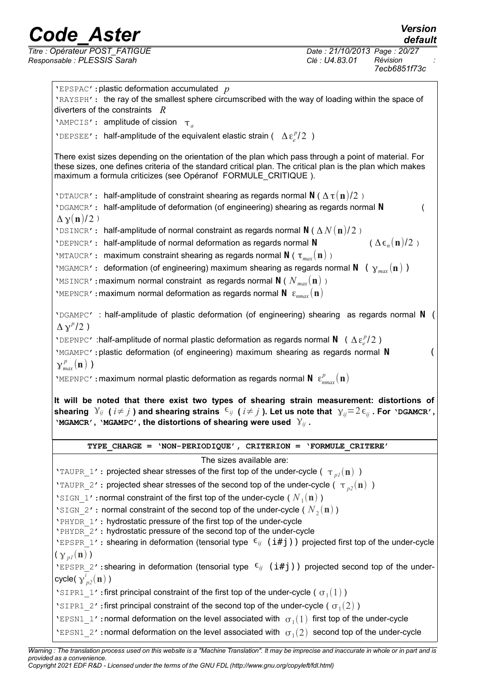*default*

| <b>'EPSPAC':</b> plastic deformation accumulated $p$<br>'RAYSPH': the ray of the smallest sphere circumscribed with the way of loading within the space of<br>diverters of the constraints $R$<br>'AMPCIS': amplitude of cission $\tau_a$<br>'DEPSEE': half-amplitude of the equivalent elastic strain ( $\Delta \epsilon_i^p/2$ )<br>There exist sizes depending on the orientation of the plan which pass through a point of material. For<br>these sizes, one defines criteria of the standard critical plan. The critical plan is the plan which makes<br>maximum a formula criticizes (see Opéranof FORMULE CRITIQUE).<br>'DTAUCR': half-amplitude of constraint shearing as regards normal N ( $\Delta \tau(n)/2$ ) |  |
|---------------------------------------------------------------------------------------------------------------------------------------------------------------------------------------------------------------------------------------------------------------------------------------------------------------------------------------------------------------------------------------------------------------------------------------------------------------------------------------------------------------------------------------------------------------------------------------------------------------------------------------------------------------------------------------------------------------------------|--|
|                                                                                                                                                                                                                                                                                                                                                                                                                                                                                                                                                                                                                                                                                                                           |  |
|                                                                                                                                                                                                                                                                                                                                                                                                                                                                                                                                                                                                                                                                                                                           |  |
|                                                                                                                                                                                                                                                                                                                                                                                                                                                                                                                                                                                                                                                                                                                           |  |
|                                                                                                                                                                                                                                                                                                                                                                                                                                                                                                                                                                                                                                                                                                                           |  |
|                                                                                                                                                                                                                                                                                                                                                                                                                                                                                                                                                                                                                                                                                                                           |  |
| 'DGAMCR': half-amplitude of deformation (of engineering) shearing as regards normal N<br>$\Delta \gamma(n)/2$ )                                                                                                                                                                                                                                                                                                                                                                                                                                                                                                                                                                                                           |  |
| 'DSINCR': half-amplitude of normal constraint as regards normal N ( $\Delta N(\mathbf{n})/2$ )<br>$(\Delta \epsilon_n(\mathbf{n})/2)$<br>'DEPNCR': half-amplitude of normal deformation as regards normal N<br>'MTAUCR': maximum constraint shearing as regards normal N ( $\tau_{max}(\mathbf{n})$ )                                                                                                                                                                                                                                                                                                                                                                                                                     |  |
| 'MGAMCR': deformation (of engineering) maximum shearing as regards normal N ( $\gamma_{max}(\mathbf{n})$ )<br>'MSINCR': maximum normal constraint as regards normal N ( $N_{max}(\mathbf{n})$ )<br>'MEPNCR': maximum normal deformation as regards normal $N \epsilon_{nmax}(n)$                                                                                                                                                                                                                                                                                                                                                                                                                                          |  |
|                                                                                                                                                                                                                                                                                                                                                                                                                                                                                                                                                                                                                                                                                                                           |  |
| $VDSAMPC$ : half-amplitude of plastic deformation (of engineering) shearing as regards normal N<br>$\Delta \chi^p/2$ )                                                                                                                                                                                                                                                                                                                                                                                                                                                                                                                                                                                                    |  |
| 'DEPNPC': half-amplitude of normal plastic deformation as regards normal N ( $\Delta \epsilon_{\rho}^p/2$ )                                                                                                                                                                                                                                                                                                                                                                                                                                                                                                                                                                                                               |  |
| 'MGAMPC': plastic deformation (of engineering) maximum shearing as regards normal N                                                                                                                                                                                                                                                                                                                                                                                                                                                                                                                                                                                                                                       |  |
|                                                                                                                                                                                                                                                                                                                                                                                                                                                                                                                                                                                                                                                                                                                           |  |
| $\gamma_{max}^p(n)$ )                                                                                                                                                                                                                                                                                                                                                                                                                                                                                                                                                                                                                                                                                                     |  |
| 'MEPNPC': maximum normal plastic deformation as regards normal $\mathbf{N}$ $\varepsilon_{max}^p(\mathbf{n})$                                                                                                                                                                                                                                                                                                                                                                                                                                                                                                                                                                                                             |  |
| It will be noted that there exist two types of shearing strain measurement: distortions of<br>shearing $Y_{ij}$ ( $i\neq j$ ) and shearing strains $\epsilon_{ij}$ ( $i\neq j$ ). Let us note that $Y_{ij}=2\epsilon_{ij}$ . For 'DGAMCR',<br>'MGAMCR', 'MGAMPC', the distortions of shearing were used $Y_{ij}$ .                                                                                                                                                                                                                                                                                                                                                                                                        |  |
| TYPE CHARGE = $'NON-PERIODIQUE'$ , CRITERION = $'FORMULE CRITERE'$                                                                                                                                                                                                                                                                                                                                                                                                                                                                                                                                                                                                                                                        |  |
| The sizes available are:                                                                                                                                                                                                                                                                                                                                                                                                                                                                                                                                                                                                                                                                                                  |  |
| 'TAUPR_1': projected shear stresses of the first top of the under-cycle ( $\tau_{pl}(\mathbf{n})$ )                                                                                                                                                                                                                                                                                                                                                                                                                                                                                                                                                                                                                       |  |
| 'TAUPR 2': projected shear stresses of the second top of the under-cycle ( $\tau_{n2}(n)$ )                                                                                                                                                                                                                                                                                                                                                                                                                                                                                                                                                                                                                               |  |
| 'SIGN 1': normal constraint of the first top of the under-cycle ( $N_1(\mathbf{n})$ )                                                                                                                                                                                                                                                                                                                                                                                                                                                                                                                                                                                                                                     |  |
| 'SIGN 2': normal constraint of the second top of the under-cycle ( $N_2(\mathbf{n})$ )                                                                                                                                                                                                                                                                                                                                                                                                                                                                                                                                                                                                                                    |  |
| 'PHYDR 1': hydrostatic pressure of the first top of the under-cycle                                                                                                                                                                                                                                                                                                                                                                                                                                                                                                                                                                                                                                                       |  |
| 'PHYDR 2': hydrostatic pressure of the second top of the under-cycle                                                                                                                                                                                                                                                                                                                                                                                                                                                                                                                                                                                                                                                      |  |
| 'EPSPR 1': shearing in deformation (tensorial type $\epsilon_{ij}$ (i#j)) projected first top of the under-cycle                                                                                                                                                                                                                                                                                                                                                                                                                                                                                                                                                                                                          |  |
| $(\gamma_{pl}(\mathbf{n}))$<br>'EPSPR 2': shearing in deformation (tensorial type $\epsilon_{ij}$ (i#j)) projected second top of the under-                                                                                                                                                                                                                                                                                                                                                                                                                                                                                                                                                                               |  |
| cycle( $y'_{n2}(n)$ )                                                                                                                                                                                                                                                                                                                                                                                                                                                                                                                                                                                                                                                                                                     |  |
| 'SIPR1 1': first principal constraint of the first top of the under-cycle ( $\sigma_1(1)$ )                                                                                                                                                                                                                                                                                                                                                                                                                                                                                                                                                                                                                               |  |
| 'SIPR1 2': first principal constraint of the second top of the under-cycle ( $\sigma_1(2)$ )                                                                                                                                                                                                                                                                                                                                                                                                                                                                                                                                                                                                                              |  |
| 'EPSN1 1': normal deformation on the level associated with $\sigma_1(1)$ first top of the under-cycle                                                                                                                                                                                                                                                                                                                                                                                                                                                                                                                                                                                                                     |  |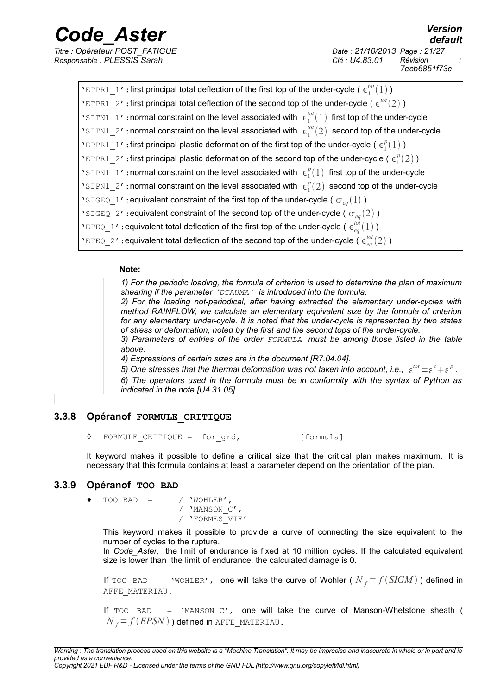*Titre : Opérateur POST\_FATIGUE Date : 21/10/2013 Page : 21/27 Responsable : PLESSIS Sarah Clé : U4.83.01 Révision :*

| 'ETPR1 1': first principal total deflection of the first top of the under-cycle ( $\epsilon_1^{tot}(1)$ )     |
|---------------------------------------------------------------------------------------------------------------|
| 'ETPR1 2': first principal total deflection of the second top of the under-cycle ( $\epsilon_1^{tot}(2)$ )    |
| 'SITN1_1': normal constraint on the level associated with $\epsilon_1^{tot}(1)$ first top of the under-cycle  |
| 'SITN1 2': normal constraint on the level associated with $\epsilon_1^{tot}(2)$ second top of the under-cycle |
| 'EPPR1_1': first principal plastic deformation of the first top of the under-cycle ( $\epsilon_1^p(1)$ )      |
| 'EPPR1 2': first principal plastic deformation of the second top of the under-cycle ( $\epsilon_1^p(2)$ )     |
| 'SIPN1 1': normal constraint on the level associated with $\epsilon_1^p(1)$ first top of the under-cycle      |
| 'SIPN1 2': normal constraint on the level associated with $\epsilon_1^p(2)$ second top of the under-cycle     |
| 'SIGEQ_1': equivalent constraint of the first top of the under-cycle ( $\sigma_{eq}(1)$ )                     |
| 'SIGEQ_2': equivalent constraint of the second top of the under-cycle ( $\sigma_{ea}(2)$ )                    |
| 'ETEQ_1': equivalent total deflection of the first top of the under-cycle ( $\epsilon_{ea}^{tot}(1)$ )        |
| 'ETEQ_2': equivalent total deflection of the second top of the under-cycle ( $\epsilon_{eq}^{tot}(2)$ )       |

### **Note:**

*1) For the periodic loading, the formula of criterion is used to determine the plan of maximum shearing if the parameter 'DTAUMA' is introduced into the formula.*

*2) For the loading not-periodical, after having extracted the elementary under-cycles with method RAINFLOW, we calculate an elementary equivalent size by the formula of criterion for any elementary under-cycle. It is noted that the under-cycle is represented by two states of stress or deformation, noted by the first and the second tops of the under-cycle.*

*3) Parameters of entries of the order FORMULA must be among those listed in the table above.*

*4) Expressions of certain sizes are in the document [R7.04.04].*

5) One stresses that the thermal deformation was not taken into account, i.e.,  $\epsilon^{tot} = \epsilon^e + \epsilon^p$ .

*6) The operators used in the formula must be in conformity with the syntax of Python as indicated in the note [U4.31.05].* 

### **3.3.8 Opéranof FORMULE\_CRITIQUE**

<span id="page-20-0"></span>◊ FORMULE\_CRITIQUE = for\_grd, [formula]

It keyword makes it possible to define a critical size that the critical plan makes maximum. It is necessary that this formula contains at least a parameter depend on the orientation of the plan.

### **3.3.9 Opéranof TOO BAD**

 $\text{TOO BAD}$  = / 'WOHLER', / 'MANSON\_C', / 'FORMES\_VIE'

This keyword makes it possible to provide a curve of connecting the size equivalent to the number of cycles to the rupture.

In *Code\_Aster,* the limit of endurance is fixed at 10 million cycles. If the calculated equivalent size is lower than the limit of endurance, the calculated damage is 0.

If TOO BAD = 'WOHLER', one will take the curve of Wohler ( $N_f = f(SIGM)$ ) defined in AFFE\_MATERIAU.

If  $\text{TOO}$  BAD = 'MANSON  $\text{C}'$ , one will take the curve of Manson-Whetstone sheath (  $N_f = f(EPSN)$ ) defined in AFFE\_MATERIAU.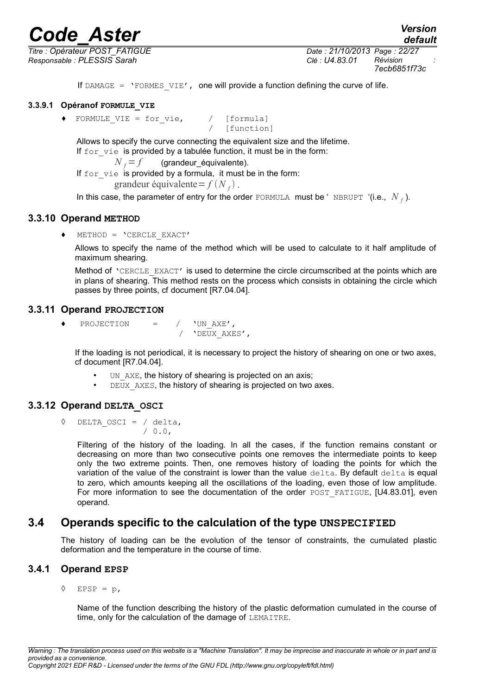*Responsable : PLESSIS Sarah Clé : U4.83.01 Révision :*

*Titre : Opérateur POST\_FATIGUE Date : 21/10/2013 Page : 22/27 7ecb6851f73c*

*default*

If DAMAGE =  $'$ FORMES VIE', one will provide a function defining the curve of life.

### **3.3.9.1 Opéranof FORMULE\_VIE**

 $\blacklozenge$  FORMULE VIE = for vie, / [formula]

Allows to specify the curve connecting the equivalent size and the lifetime. If for vie is provided by a tabulée function, it must be in the form:

 $N_f = f$  (grandeur équivalente).

If for vie is provided by a formula, it must be in the form: grandeur équivalente =  $f(N_f)$ .

In this case, the parameter of entry for the order FORMULA must be 'NBRUPT '(i.e.,  $N$ <sub>f</sub>).

[function]

### **3.3.10 Operand METHOD**

♦ METHOD = 'CERCLE\_EXACT'

Allows to specify the name of the method which will be used to calculate to it half amplitude of maximum shearing.

Method of 'CERCLE\_EXACT' is used to determine the circle circumscribed at the points which are in plans of shearing. This method rests on the process which consists in obtaining the circle which passes by three points, cf document [R7.04.04].

### **3.3.11 Operand PROJECTION**

♦ PROJECTION = / 'UN\_AXE',  $\overline{1}$  'DEUX AXES',

If the loading is not periodical, it is necessary to project the history of shearing on one or two axes, cf document [R7.04.04].

- UN\_AXE, the history of shearing is projected on an axis;
- $\cdot$  DEUX AXES, the history of shearing is projected on two axes.

### **3.3.12 Operand DELTA\_OSCI**

◊ DELTA\_OSCI = / delta, / 0.0,

> Filtering of the history of the loading. In all the cases, if the function remains constant or decreasing on more than two consecutive points one removes the intermediate points to keep only the two extreme points. Then, one removes history of loading the points for which the variation of the value of the constraint is lower than the value delta. By default delta is equal to zero, which amounts keeping all the oscillations of the loading, even those of low amplitude. For more information to see the documentation of the order POST\_FATIGUE, [U4.83.01], even operand.

### **3.4 Operands specific to the calculation of the type UNSPECIFIED**

The history of loading can be the evolution of the tensor of constraints, the cumulated plastic deformation and the temperature in the course of time.

### **3.4.1 Operand EPSP**

◊ EPSP = p,

Name of the function describing the history of the plastic deformation cumulated in the course of time, only for the calculation of the damage of LEMAITRE.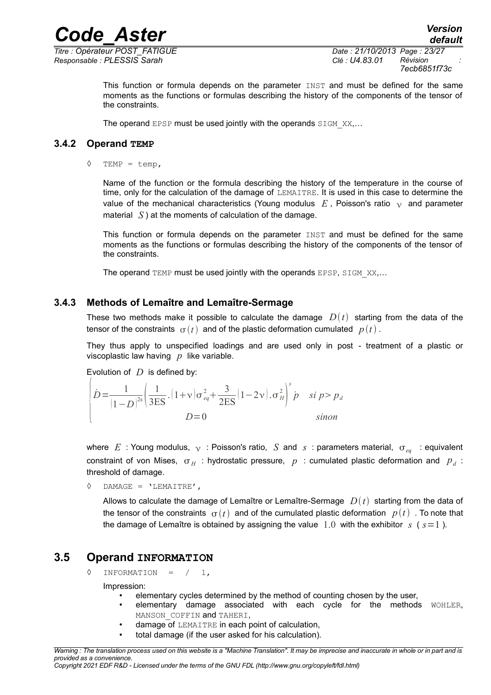*Titre : Opérateur POST\_FATIGUE Date : 21/10/2013 Page : 23/27 Responsable : PLESSIS Sarah Clé : U4.83.01 Révision :*

This function or formula depends on the parameter  $I\text{NST}$  and must be defined for the same moments as the functions or formulas describing the history of the components of the tensor of the constraints.

The operand EPSP must be used jointly with the operands SIGM XX,...

### **3.4.2 Operand TEMP**

 $\Diamond$  TEMP = temp,

Name of the function or the formula describing the history of the temperature in the course of time, only for the calculation of the damage of LEMAITRE. It is used in this case to determine the value of the mechanical characteristics (Young modulus  $E$ , Poisson's ratio  $\gamma$  and parameter material *S* ) at the moments of calculation of the damage.

This function or formula depends on the parameter  $I\text{NST}$  and must be defined for the same moments as the functions or formulas describing the history of the components of the tensor of the constraints.

The operand  $TEMP$  must be used jointly with the operands EPSP, SIGM  $XX,...$ 

### **3.4.3 Methods of Lemaître and Lemaître-Sermage**

These two methods make it possible to calculate the damage  $D(t)$  starting from the data of the tensor of the constraints  $\sigma(t)$  and of the plastic deformation cumulated  $p(t)$ .

They thus apply to unspecified loadings and are used only in post - treatment of a plastic or viscoplastic law having *p* like variable.

Evolution of *D* is defined by:

$$
\dot{D} = \frac{1}{(1-D)^{2s}} \left( \frac{1}{3ES} \cdot (1+\nu)\sigma_{eq}^2 + \frac{3}{2ES} (1-2\nu) \cdot \sigma_H^2 \right)^s \dot{p} \quad si \; p > p_d
$$
  

$$
D = 0 \qquad \text{sinon}
$$

where  $E$ : Young modulus,  $\sqrt{ }$ : Poisson's ratio,  $S$  and  $S$ : parameters material,  $\sigma_{eq}$ : equivalent constraint of von Mises,  $\sigma_H$ : hydrostatic pressure,  $p$ : cumulated plastic deformation and  $|p_{d}|$ : threshold of damage.

◊ DAMAGE = 'LEMAITRE',

Allows to calculate the damage of Lemaître or Lemaître-Sermage  $D(t)$  starting from the data of the tensor of the constraints  $\sigma(t)$  and of the cumulated plastic deformation  $p(t)$ . To note that the damage of Lemaître is obtained by assigning the value  $1.0$  with the exhibitor  $s$  ( $s=1$ ).

### **3.5 Operand INFORMATION**

 $\Diamond$  INFORMATION =  $/ 1$ ,

Impression:

- elementary cycles determined by the method of counting chosen by the user,
- elementary damage associated with each cycle for the methods WOHLER, MANSON COFFIN and TAHERI,
- damage of LEMAITRE in each point of calculation,
- total damage (if the user asked for his calculation).

*Warning : The translation process used on this website is a "Machine Translation". It may be imprecise and inaccurate in whole or in part and is provided as a convenience.*

*Copyright 2021 EDF R&D - Licensed under the terms of the GNU FDL (http://www.gnu.org/copyleft/fdl.html)*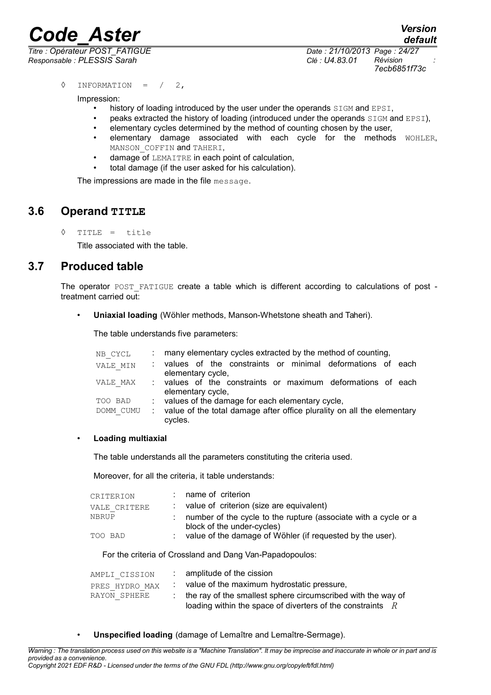*Titre : Opérateur POST\_FATIGUE Date : 21/10/2013 Page : 24/27 Responsable : PLESSIS Sarah Clé : U4.83.01 Révision :*

*default 7ecb6851f73c*

◊ INFORMATION = / 2,

Impression:

- history of loading introduced by the user under the operands  $SIGM$  and  $EPSI$ ,
- peaks extracted the history of loading (introduced under the operands SIGM and EPSI),
- elementary cycles determined by the method of counting chosen by the user,
- elementary damage associated with each cycle for the methods WOHLER, MANSON COFFIN and TAHERI,
- damage of LEMAITRE in each point of calculation,
- total damage (if the user asked for his calculation).

The impressions are made in the file message.

### **3.6 Operand TITLE**

◊ TITLE = title

Title associated with the table.

### **3.7 Produced table**

The operator POST\_FATIGUE create a table which is different according to calculations of post treatment carried out:

• **Uniaxial loading** (Wöhler methods, Manson-Whetstone sheath and Taheri).

The table understands five parameters:

| NB CYCL   | : many elementary cycles extracted by the method of counting,                       |
|-----------|-------------------------------------------------------------------------------------|
| VALE MIN  | values of the constraints or minimal deformations of each<br>elementary cycle,      |
| VALE MAX  | : values of the constraints or maximum deformations of each<br>elementary cycle,    |
| TOO BAD   | : values of the damage for each elementary cycle,                                   |
| DOMM CUMU | : value of the total damage after office plurality on all the elementary<br>cycles. |

### • **Loading multiaxial**

The table understands all the parameters constituting the criteria used.

Moreover, for all the criteria, it table understands:

| CRITERION    | name of criterion                                                                             |
|--------------|-----------------------------------------------------------------------------------------------|
| VALE CRITERE | value of criterion (size are equivalent)                                                      |
| NBRUP        | number of the cycle to the rupture (associate with a cycle or a<br>block of the under-cycles) |
| TOO BAD      | value of the damage of Wöhler (if requested by the user).                                     |

For the criteria of Crossland and Dang Van-Papadopoulos:

| AMPLI CISSION  | $:$ amplitude of the cission                                   |
|----------------|----------------------------------------------------------------|
| PRES HYDRO MAX | value of the maximum hydrostatic pressure,                     |
| RAYON SPHERE   | : the ray of the smallest sphere circumscribed with the way of |
|                | loading within the space of diverters of the constraints $R$   |

• **Unspecified loading** (damage of Lemaître and Lemaître-Sermage).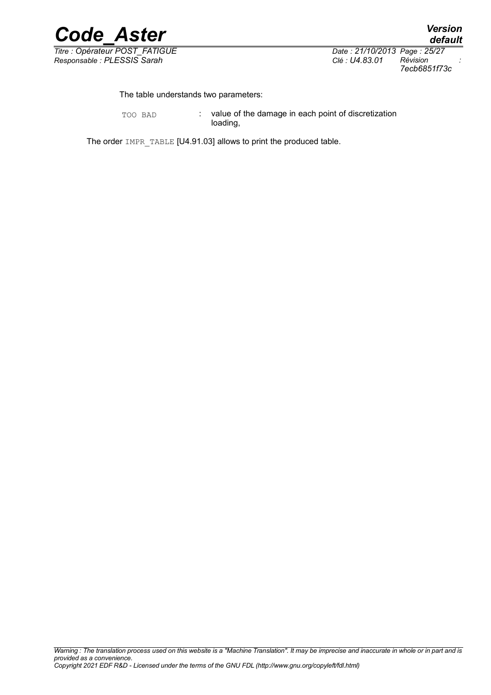

*Titre : Opérateur POST\_FATIGUE Date : 21/10/2013 Page : 25/27 Responsable : PLESSIS Sarah Clé : U4.83.01 Révision :*

*7ecb6851f73c*

The table understands two parameters:

TOO BAD : value of the damage in each point of discretization loading,

The order IMPR\_TABLE [U4.91.03] allows to print the produced table.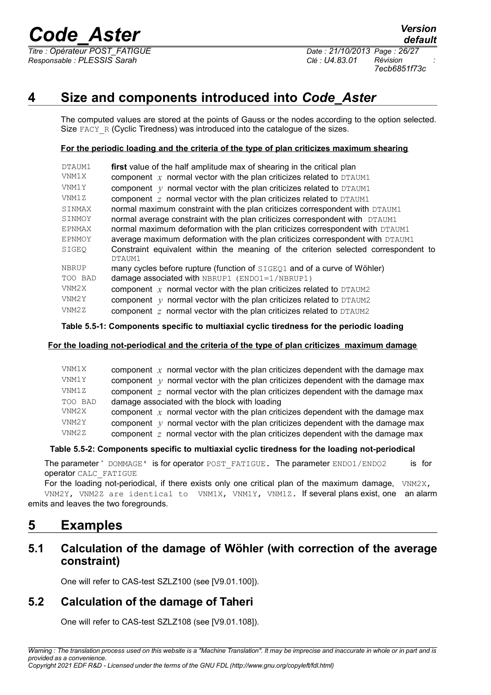*Responsable : PLESSIS Sarah Clé : U4.83.01 Révision :*

*7ecb6851f73c*

# **4 Size and components introduced into** *Code\_Aster*

The computed values are stored at the points of Gauss or the nodes according to the option selected. Size  $FACY-R$  (Cyclic Tiredness) was introduced into the catalogue of the sizes.

### **For the periodic loading and the criteria of the type of plan criticizes maximum shearing**

| DTAUM1  | first value of the half amplitude max of shearing in the critical plan                        |
|---------|-----------------------------------------------------------------------------------------------|
| VNM1X   | component $x$ normal vector with the plan criticizes related to DTAUM1                        |
| VNM1Y   | component $y$ normal vector with the plan criticizes related to DTAUM1                        |
| VNM1 Z  | component $z$ normal vector with the plan criticizes related to DTAUM1                        |
| SINMAX  | normal maximum constraint with the plan criticizes correspondent with DTAUM1                  |
| SINMOY  | normal average constraint with the plan criticizes correspondent with DTAUM1                  |
| EPNMAX  | normal maximum deformation with the plan criticizes correspondent with DTAUM1                 |
| EPNMOY  | average maximum deformation with the plan criticizes correspondent with DTAUM1                |
| SIGEO   | Constraint equivalent within the meaning of the criterion selected correspondent to<br>DTAUM1 |
| NBRUP   | many cycles before rupture (function of SIGEQ1 and of a curve of Wöhler)                      |
| TOO BAD | damage associated with NBRUP1 $(ENDO1=1/NBRUP1)$                                              |
| VNM2X   | component $x$ normal vector with the plan criticizes related to DTAUM2                        |
| VNM2Y   | component $y$ normal vector with the plan criticizes related to DTAUM2                        |
| VNM2Z   | component $z$ normal vector with the plan criticizes related to DTAUM2                        |

### **Table 5.5-1: Components specific to multiaxial cyclic tiredness for the periodic loading**

### **For the loading not-periodical and the criteria of the type of plan criticizes maximum damage**

| VNM1X   | component $x$ normal vector with the plan criticizes dependent with the damage max      |
|---------|-----------------------------------------------------------------------------------------|
| VNM1Y   | component $y$ normal vector with the plan criticizes dependent with the damage max      |
| VNM1Z   | component z normal vector with the plan criticizes dependent with the damage max        |
| TOO BAD | damage associated with the block with loading                                           |
| VNM2X   | component $x$ normal vector with the plan criticizes dependent with the damage max      |
| VNM2Y   | component $\gamma$ normal vector with the plan criticizes dependent with the damage max |
| VNM2Z   | component $z$ normal vector with the plan criticizes dependent with the damage max      |

### **Table 5.5-2: Components specific to multiaxial cyclic tiredness for the loading not-periodical**

The parameter ' DOMMAGE' is for operator POST FATIGUE. The parameter ENDO1/ENDO2 is for operator CALC\_FATIGUE

For the loading not-periodical, if there exists only one critical plan of the maximum damage,  $VNM2X$ , VNM2Y, VNM2Z are identical to VNM1X, VNM1Y, VNM1Z. If several plans exist, one an alarm emits and leaves the two foregrounds.

# **5 Examples**

## **5.1 Calculation of the damage of Wöhler (with correction of the average constraint)**

One will refer to CAS-test SZLZ100 (see [V9.01.100]).

# **5.2 Calculation of the damage of Taheri**

One will refer to CAS-test SZLZ108 (see [V9.01.108]).